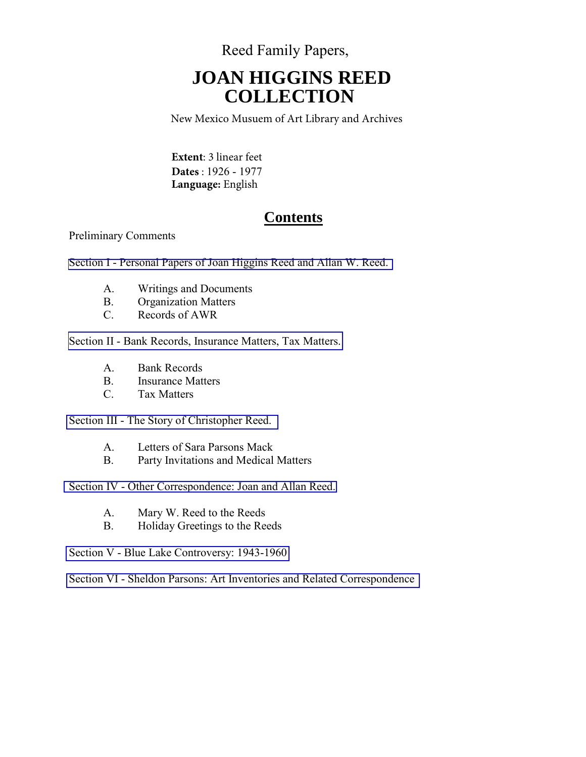Reed Family Papers,

# **JOAN HIGGINS REED COLLECTION**

New Mexico Musuem of Art Library and Archives

**Extent**: 3 linear feet **Dates** : 1926 - 1977 **Language:** English

## **Contents**

### Preliminary Comments

[Section I - Personal Papers of Joan Higgins Reed and Allan W. Reed.](#page-2-0) 

- A. Writings and Documents
- B. Organization Matters
- C. Records of AWR

[Section II - Bank Records, Insurance Matters, Tax Matters.](#page-9-0) 

- A. Bank Records
- B. Insurance Matters
- C. Tax Matters

[Section III - The Story of Christopher Reed.](#page-12-0) 

- A. Letters of Sara Parsons Mack
- B. Party Invitations and Medical Matters

[Section IV - Other Correspondence: Joan and Allan Reed.](#page-12-0) 

- A. Mary W. Reed to the Reeds
- B. Holiday Greetings to the Reeds
- [Section V Blue Lake Controversy: 1943-1960](#page-29-0)

[Section VI - Sheldon Parsons: Art Inventories and Related Correspondence](#page-33-0)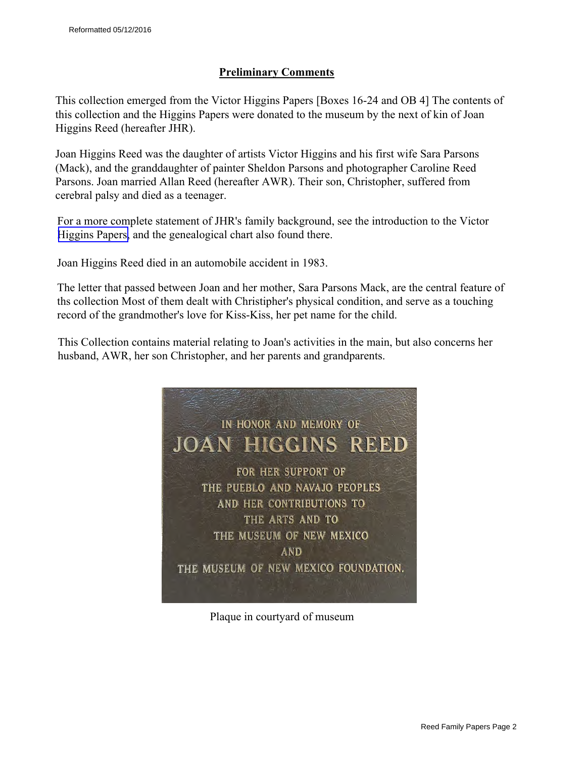### **Preliminary Comments**

This collection emerged from the Victor Higgins Papers [Boxes 16-24 and OB 4] The contents of this collection and the Higgins Papers were donated to the museum by the next of kin of Joan Higgins Reed (hereafter JHR).

Joan Higgins Reed was the daughter of artists Victor Higgins and his first wife Sara Parsons (Mack), and the granddaughter of painter Sheldon Parsons and photographer Caroline Reed Parsons. Joan married Allan Reed (hereafter AWR). Their son, Christopher, suffered from cerebral palsy and died as a teenager.

For a more complete statement of JHR's family background, see the introduction to the Victor [Higgins Papers,](http://www.nmartmuseum.org/assets/files/Finding%20Aids/HigginsFinal.pdf) and the genealogical chart also found there.

Joan Higgins Reed died in an automobile accident in 1983.

The letter that passed between Joan and her mother, Sara Parsons Mack, are the central feature of ths collection Most of them dealt with Christipher's physical condition, and serve as a touching record of the grandmother's love for Kiss-Kiss, her pet name for the child.

This Collection contains material relating to Joan's activities in the main, but also concerns her husband, AWR, her son Christopher, and her parents and grandparents.



Plaque in courtyard of museum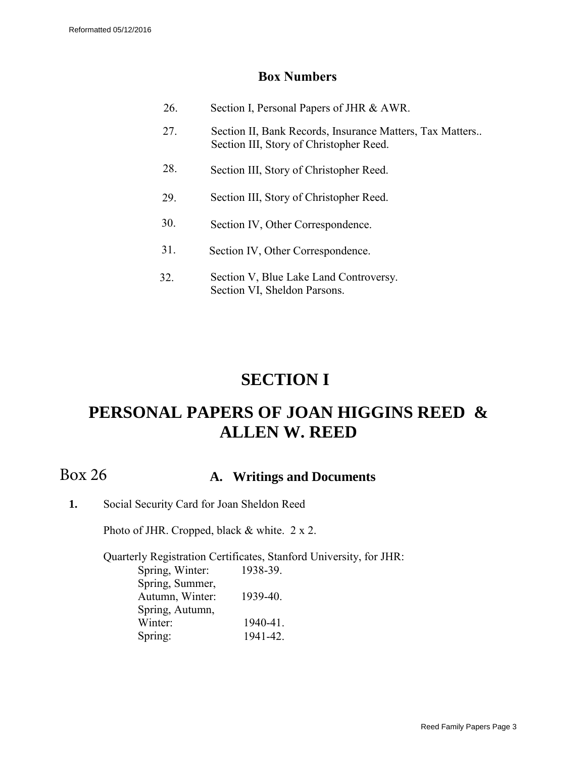## **Box Numbers**

<span id="page-2-0"></span>

| 26. | Section I, Personal Papers of JHR & AWR.                                                            |
|-----|-----------------------------------------------------------------------------------------------------|
| 27. | Section II, Bank Records, Insurance Matters, Tax Matters<br>Section III, Story of Christopher Reed. |
| 28. | Section III, Story of Christopher Reed.                                                             |
| 29  | Section III, Story of Christopher Reed.                                                             |
| 30. | Section IV, Other Correspondence.                                                                   |
| 31. | Section IV, Other Correspondence.                                                                   |
| 32. | Section V, Blue Lake Land Controversy.<br>Section VI, Sheldon Parsons.                              |

## **SECTION I**

## **PERSONAL PAPERS OF JOAN HIGGINS REED & ALLEN W. REED**

Box 26

## **A. Writings and Documents**

**1.** Social Security Card for Joan Sheldon Reed

Photo of JHR. Cropped, black & white. 2 x 2.

Quarterly Registration Certificates, Stanford University, for JHR: Spring, Winter: 1938-39.

Spring, Summer, Autumn, Winter: 1939-40. Spring, Autumn, Winter: 1940-41. Spring: 1941-42.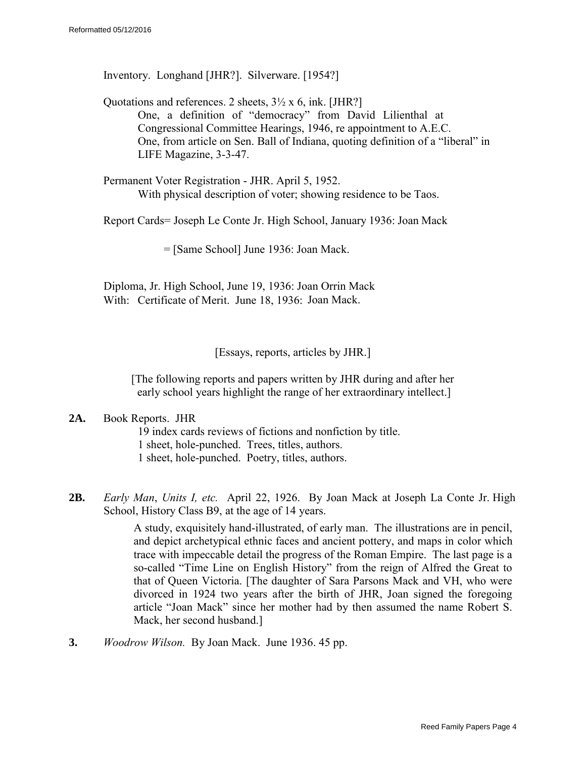Inventory. Longhand [JHR?]. Silverware. [1954?]

Quotations and references. 2 sheets,  $3\frac{1}{2}$  x 6, ink. [JHR?] One, a definition of "democracy" from David Lilienthal at Congressional Committee Hearings, 1946, re appointment to A.E.C. One, from article on Sen. Ball of Indiana, quoting definition of a "liberal" in LIFE Magazine, 3-3-47.

Permanent Voter Registration - JHR. April 5, 1952. With physical description of voter; showing residence to be Taos.

Report Cards= Joseph Le Conte Jr. High School, January 1936: Joan Mack

= [Same School] June 1936: Joan Mack.

Diploma, Jr. High School, June 19, 1936: Joan Orrin Mack With: Certificate of Merit. June 18, 1936: Joan Mack.

[Essays, reports, articles by JHR.]

[The following reports and papers written by JHR during and after her early school years highlight the range of her extraordinary intellect.]

#### **2A.** Book Reports. JHR

19 index cards reviews of fictions and nonfiction by title. 1 sheet, hole-punched. Trees, titles, authors. 1 sheet, hole-punched. Poetry, titles, authors.

**2B.** *Early Man*, *Units I, etc.* April 22, 1926. By Joan Mack at Joseph La Conte Jr. High School, History Class B9, at the age of 14 years.

> A study, exquisitely hand-illustrated, of early man. The illustrations are in pencil, and depict archetypical ethnic faces and ancient pottery, and maps in color which trace with impeccable detail the progress of the Roman Empire. The last page is a so-called "Time Line on English History" from the reign of Alfred the Great to that of Queen Victoria. [The daughter of Sara Parsons Mack and VH, who were divorced in 1924 two years after the birth of JHR, Joan signed the foregoing article "Joan Mack" since her mother had by then assumed the name Robert S. Mack, her second husband.]

**3.** *Woodrow Wilson.* By Joan Mack. June 1936. 45 pp.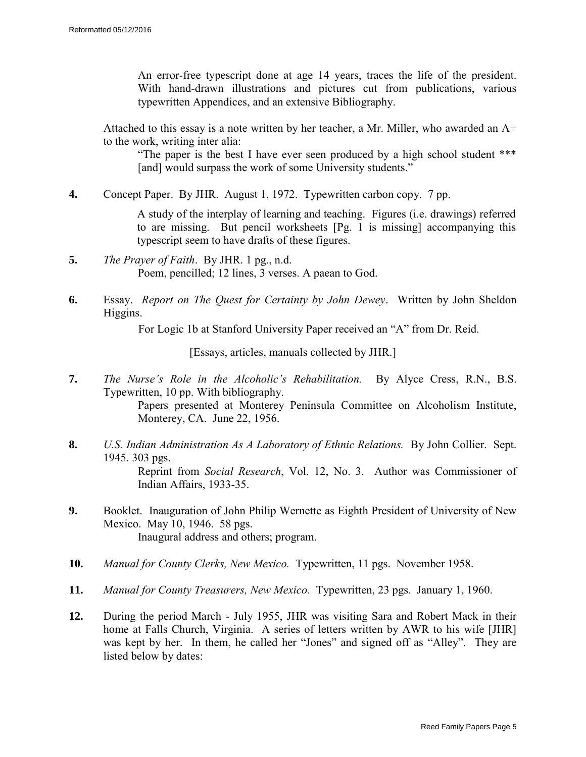An error-free typescript done at age 14 years, traces the life of the president. With hand-drawn illustrations and pictures cut from publications, various typewritten Appendices, and an extensive Bibliography.

Attached to this essay is a note written by her teacher, a Mr. Miller, who awarded an A+ to the work, writing inter alia:

"The paper is the best I have ever seen produced by a high school student \*\*\* [and] would surpass the work of some University students."

**4.** Concept Paper. By JHR. August 1, 1972. Typewritten carbon copy. 7 pp.

A study of the interplay of learning and teaching. Figures (i.e. drawings) referred to are missing. But pencil worksheets [Pg. 1 is missing] accompanying this typescript seem to have drafts of these figures.

- **5.** *The Prayer of Faith*. By JHR. 1 pg., n.d. Poem, pencilled; 12 lines, 3 verses. A paean to God.
- **6.** Essay. *Report on The Quest for Certainty by John Dewey*. Written by John Sheldon Higgins.

For Logic 1b at Stanford University Paper received an "A" from Dr. Reid.

[Essays, articles, manuals collected by JHR.]

- **7.** *The Nurse's Role in the Alcoholic's Rehabilitation.* By Alyce Cress, R.N., B.S. Typewritten, 10 pp. With bibliography. Papers presented at Monterey Peninsula Committee on Alcoholism Institute, Monterey, CA. June 22, 1956.
- **8.** *U.S. Indian Administration As A Laboratory of Ethnic Relations.* By John Collier. Sept. 1945. 303 pgs. Reprint from *Social Research*, Vol. 12, No. 3. Author was Commissioner of Indian Affairs, 1933-35.
- **9.** Booklet. Inauguration of John Philip Wernette as Eighth President of University of New Mexico. May 10, 1946. 58 pgs. Inaugural address and others; program.
- **10.** *Manual for County Clerks, New Mexico.* Typewritten, 11 pgs. November 1958.
- **11.** *Manual for County Treasurers, New Mexico.* Typewritten, 23 pgs. January 1, 1960.
- **12.** During the period March July 1955, JHR was visiting Sara and Robert Mack in their home at Falls Church, Virginia. A series of letters written by AWR to his wife [JHR] was kept by her. In them, he called her "Jones" and signed off as "Alley". They are listed below by dates: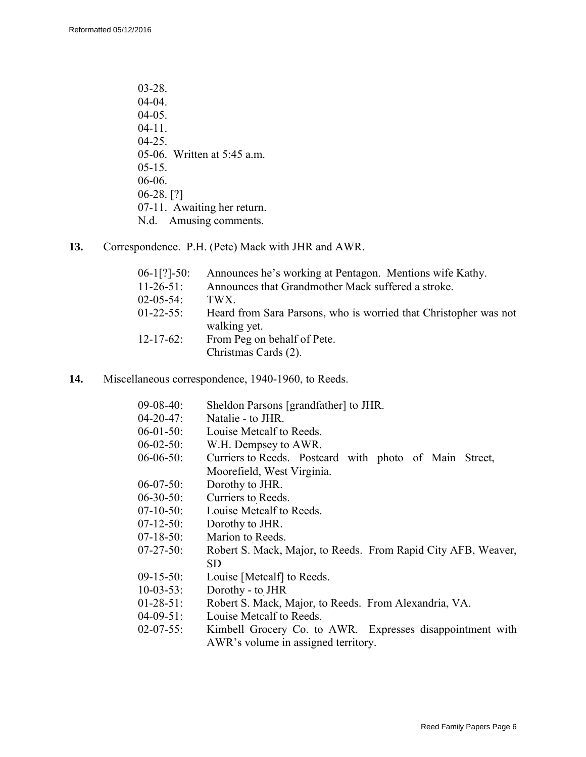- 03-28. 04-04. 04-05. 04-11. 04-25. 05-06. Written at 5:45 a.m. 05-15. 06-06. 06-28. [?] 07-11. Awaiting her return. N.d. Amusing comments.
- **13.** Correspondence. P.H. (Pete) Mack with JHR and AWR.

| $06-1$ [?]-50:   | Announces he's working at Pentagon. Mentions wife Kathy.                         |
|------------------|----------------------------------------------------------------------------------|
| $11-26-51$ :     | Announces that Grandmother Mack suffered a stroke.                               |
| $02 - 05 - 54$ : | TWX                                                                              |
| $01-22-55$ :     | Heard from Sara Parsons, who is worried that Christopher was not<br>walking yet. |
| $12 - 17 - 62$ : | From Peg on behalf of Pete.<br>Christmas Cards (2).                              |

**14.** Miscellaneous correspondence, 1940-1960, to Reeds.

| Sheldon Parsons [grandfather] to JHR.                         |  |  |
|---------------------------------------------------------------|--|--|
| Natalie - to JHR.                                             |  |  |
| Louise Metcalf to Reeds.                                      |  |  |
| W.H. Dempsey to AWR.                                          |  |  |
| Curriers to Reeds. Postcard with photo of Main Street,        |  |  |
| Moorefield, West Virginia.                                    |  |  |
| Dorothy to JHR.                                               |  |  |
| Curriers to Reeds.                                            |  |  |
| Louise Metcalf to Reeds.                                      |  |  |
| Dorothy to JHR.                                               |  |  |
| Marion to Reeds.                                              |  |  |
| Robert S. Mack, Major, to Reeds. From Rapid City AFB, Weaver, |  |  |
| SD                                                            |  |  |
| Louise [Metcalf] to Reeds.                                    |  |  |
| Dorothy - to JHR                                              |  |  |
| Robert S. Mack, Major, to Reeds. From Alexandria, VA.         |  |  |
| Louise Metcalf to Reeds.                                      |  |  |
| Kimbell Grocery Co. to AWR. Expresses disappointment with     |  |  |
|                                                               |  |  |

AWR's volume in assigned territory.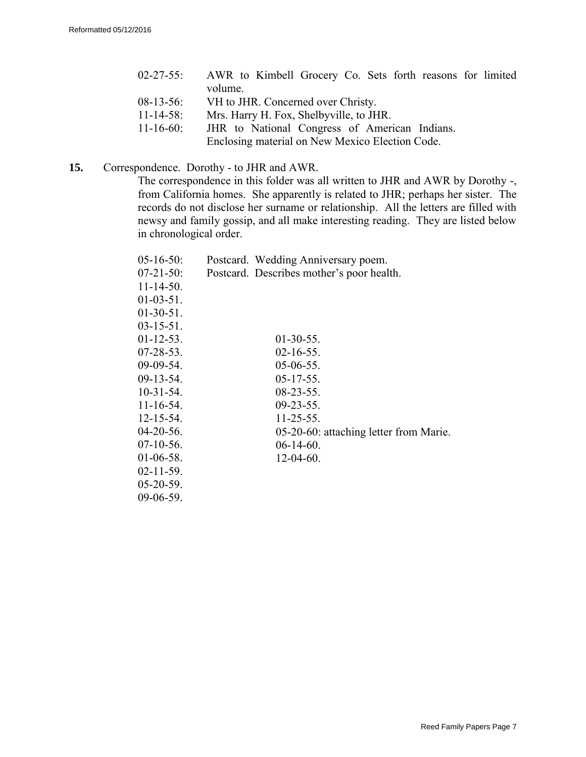|                  | 02-27-55: AWR to Kimbell Grocery Co. Sets forth reasons for limited |
|------------------|---------------------------------------------------------------------|
|                  | volume.                                                             |
| $08-13-56$ :     | VH to JHR. Concerned over Christy.                                  |
| $11 - 14 - 58$ : | Mrs. Harry H. Fox, Shelbyville, to JHR.                             |
| $11 - 16 - 60$ : | JHR to National Congress of American Indians.                       |
|                  | Enclosing material on New Mexico Election Code.                     |

**15.** Correspondence. Dorothy - to JHR and AWR.

The correspondence in this folder was all written to JHR and AWR by Dorothy -, from California homes. She apparently is related to JHR; perhaps her sister. The records do not disclose her surname or relationship. All the letters are filled with newsy and family gossip, and all make interesting reading. They are listed below in chronological order.

| $05 - 16 - 50$ : | Postcard. Wedding Anniversary poem.       |
|------------------|-------------------------------------------|
| 07-21-50:        | Postcard. Describes mother's poor health. |
| $11 - 14 - 50$ . |                                           |
| $01-03-51$ .     |                                           |
| $01-30-51$ .     |                                           |
| $03-15-51$ .     |                                           |
| $01-12-53$ .     | $01-30-55$ .                              |
| 07-28-53.        | $02 - 16 - 55$ .                          |
| 09-09-54.        | $05-06-55$ .                              |
| 09-13-54.        | $05-17-55$ .                              |
| $10-31-54$ .     | $08 - 23 - 55$ .                          |
| $11 - 16 - 54$ . | $09 - 23 - 55$ .                          |
| $12 - 15 - 54$ . | $11 - 25 - 55$ .                          |
| 04-20-56.        | 05-20-60: attaching letter from Marie.    |
| 07-10-56.        | $06-14-60.$                               |
| 01-06-58.        | $12-04-60$ .                              |
| $02 - 11 - 59$ . |                                           |
| 05-20-59.        |                                           |
| 09-06-59.        |                                           |
|                  |                                           |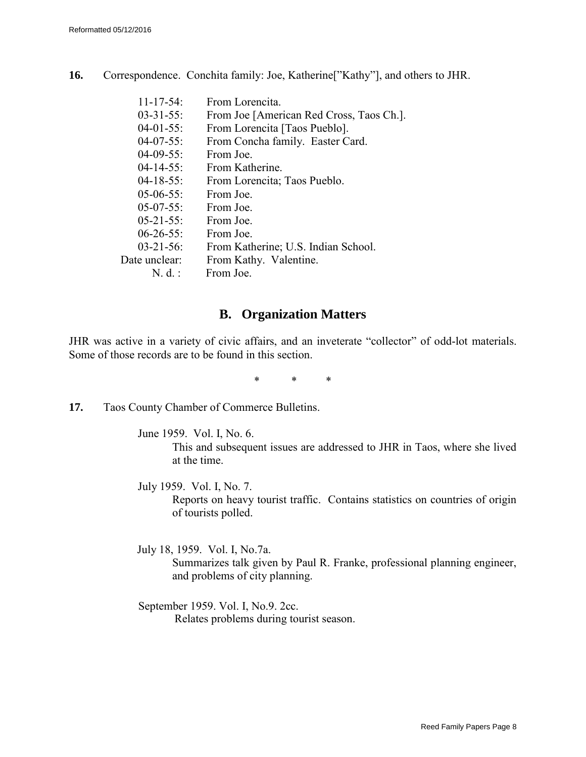**16.** Correspondence. Conchita family: Joe, Katherine["Kathy"], and others to JHR.

| $11 - 17 - 54$ : | From Lorencita.                          |
|------------------|------------------------------------------|
| $03 - 31 - 55$ : | From Joe [American Red Cross, Taos Ch.]. |
| $04-01-55$ :     | From Lorencita [Taos Pueblo].            |
| $04-07-55$ :     | From Concha family. Easter Card.         |
| $04-09-55$ :     | From Joe.                                |
| $04 - 14 - 55$ : | From Katherine.                          |
| $04-18-55$ :     | From Lorencita; Taos Pueblo.             |
| $05-06-55$ :     | From Joe.                                |
| $05-07-55$ :     | From Joe.                                |
| $05-21-55$ :     | From Joe.                                |
| $06 - 26 - 55$ : | From Joe.                                |
| $03 - 21 - 56$ : | From Katherine; U.S. Indian School.      |
| Date unclear:    | From Kathy. Valentine.                   |
| $N. d.$ :        | From Joe.                                |

## **B. Organization Matters**

JHR was active in a variety of civic affairs, and an inveterate "collector" of odd-lot materials. Some of those records are to be found in this section.

\* \* \*

**17.** Taos County Chamber of Commerce Bulletins.

June 1959. Vol. I, No. 6. This and subsequent issues are addressed to JHR in Taos, where she lived at the time.

July 1959. Vol. I, No. 7. Reports on heavy tourist traffic. Contains statistics on countries of origin of tourists polled.

July 18, 1959. Vol. I, No.7a. Summarizes talk given by Paul R. Franke, professional planning engineer, and problems of city planning.

September 1959. Vol. I, No.9. 2cc. Relates problems during tourist season.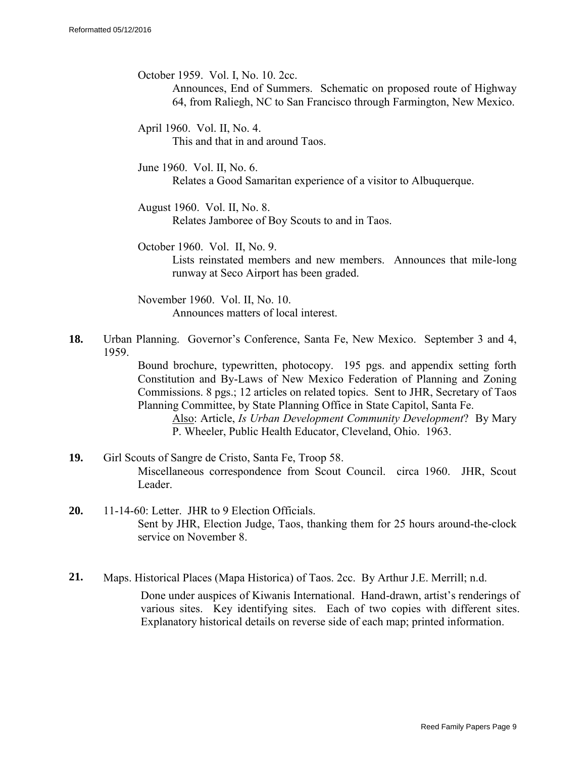October 1959. Vol. I, No. 10. 2cc.

Announces, End of Summers. Schematic on proposed route of Highway 64, from Raliegh, NC to San Francisco through Farmington, New Mexico.

April 1960. Vol. II, No. 4. This and that in and around Taos.

June 1960. Vol. II, No. 6. Relates a Good Samaritan experience of a visitor to Albuquerque.

August 1960. Vol. II, No. 8. Relates Jamboree of Boy Scouts to and in Taos.

October 1960. Vol. II, No. 9. Lists reinstated members and new members. Announces that mile-long runway at Seco Airport has been graded.

November 1960. Vol. II, No. 10. Announces matters of local interest.

**18.** Urban Planning. Governor's Conference, Santa Fe, New Mexico. September 3 and 4, 1959.

> Bound brochure, typewritten, photocopy. 195 pgs. and appendix setting forth Constitution and By-Laws of New Mexico Federation of Planning and Zoning Commissions. 8 pgs.; 12 articles on related topics. Sent to JHR, Secretary of Taos Planning Committee, by State Planning Office in State Capitol, Santa Fe.

Also: Article, *Is Urban Development Community Development*? By Mary P. Wheeler, Public Health Educator, Cleveland, Ohio. 1963.

- **19.** Girl Scouts of Sangre de Cristo, Santa Fe, Troop 58. Miscellaneous correspondence from Scout Council. circa 1960. JHR, Scout Leader.
- **20.** 11-14-60: Letter. JHR to 9 Election Officials. Sent by JHR, Election Judge, Taos, thanking them for 25 hours around-the-clock service on November 8.
- **21.** Maps. Historical Places (Mapa Historica) of Taos. 2cc. By Arthur J.E. Merrill; n.d. Done under auspices of Kiwanis International. Hand-drawn, artist's renderings of various sites. Key identifying sites. Each of two copies with different sites. Explanatory historical details on reverse side of each map; printed information.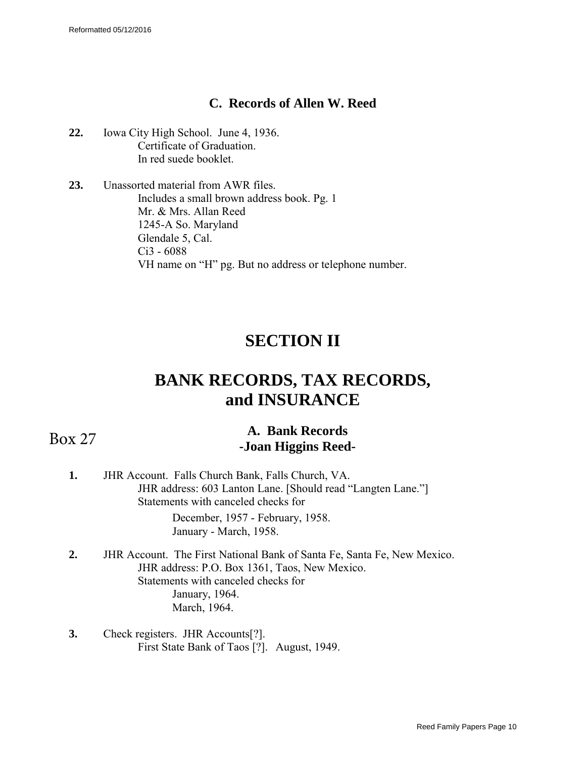## **C. Records of Allen W. Reed**

- <span id="page-9-0"></span>**22.** Iowa City High School. June 4, 1936. Certificate of Graduation. In red suede booklet.
- **23.** Unassorted material from AWR files. Includes a small brown address book. Pg. 1 Mr. & Mrs. Allan Reed 1245-A So. Maryland Glendale 5, Cal. Ci3 - 6088 VH name on "H" pg. But no address or telephone number.

## **SECTION II**

# **BANK RECORDS, TAX RECORDS, and INSURANCE**

## Box 27

## **A. Bank Records -Joan Higgins Reed-**

**1.** JHR Account. Falls Church Bank, Falls Church, VA. JHR address: 603 Lanton Lane. [Should read "Langten Lane."] Statements with canceled checks for

December, 1957 - February, 1958. January - March, 1958.

- **2.** JHR Account. The First National Bank of Santa Fe, Santa Fe, New Mexico. JHR address: P.O. Box 1361, Taos, New Mexico. Statements with canceled checks for January, 1964. March, 1964.
- **3.** Check registers. JHR Accounts[?]. First State Bank of Taos [?]. August, 1949.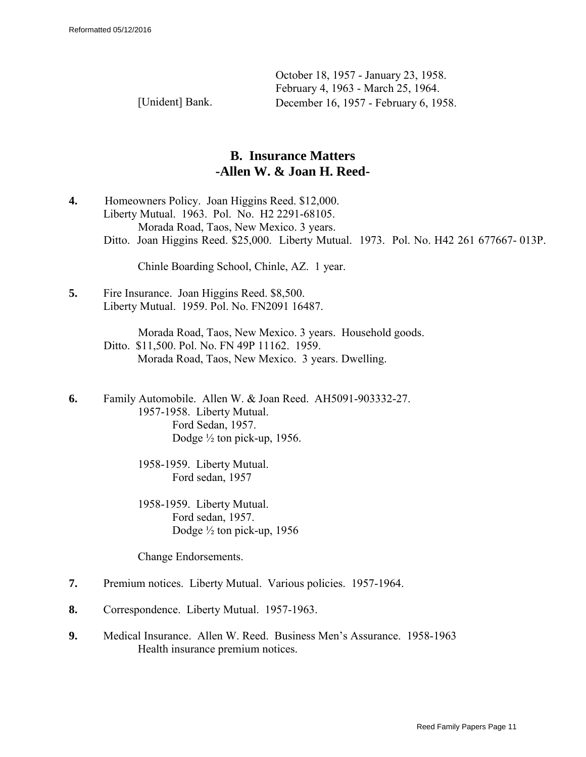October 18, 1957 - January 23, 1958. February 4, 1963 - March 25, 1964. [Unident] Bank. December 16, 1957 - February 6, 1958.

> **B. Insurance Matters -Allen W. & Joan H. Reed-**

**4.** Homeowners Policy. Joan Higgins Reed. \$12,000. Liberty Mutual. 1963. Pol. No. H2 2291-68105. Morada Road, Taos, New Mexico. 3 years. Ditto. Joan Higgins Reed. \$25,000. Liberty Mutual. 1973. Pol. No. H42 261 677667- 013P.

Chinle Boarding School, Chinle, AZ. 1 year.

**5.** Fire Insurance. Joan Higgins Reed. \$8,500. Liberty Mutual. 1959. Pol. No. FN2091 16487.

> Morada Road, Taos, New Mexico. 3 years. Household goods. Ditto. \$11,500. Pol. No. FN 49P 11162. 1959. Morada Road, Taos, New Mexico. 3 years. Dwelling.

**6.** Family Automobile. Allen W. & Joan Reed. AH5091-903332-27. 1957-1958. Liberty Mutual. Ford Sedan, 1957. Dodge ½ ton pick-up, 1956.

> 1958-1959. Liberty Mutual. Ford sedan, 1957

1958-1959. Liberty Mutual. Ford sedan, 1957. Dodge ½ ton pick-up, 1956

Change Endorsements.

- **7.** Premium notices. Liberty Mutual. Various policies. 1957-1964.
- **8.** Correspondence. Liberty Mutual. 1957-1963.
- **9.** Medical Insurance. Allen W. Reed. Business Men's Assurance. 1958-1963 Health insurance premium notices.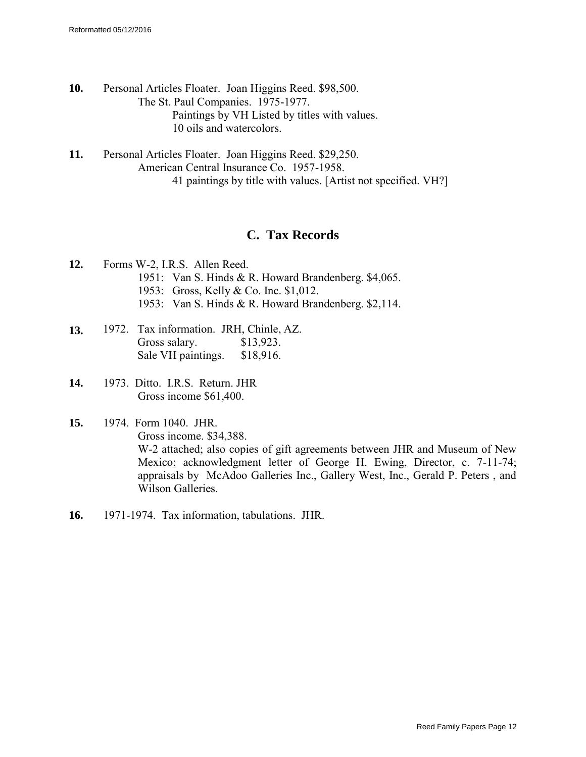- **10.** Personal Articles Floater. Joan Higgins Reed. \$98,500. The St. Paul Companies. 1975-1977. Paintings by VH Listed by titles with values. 10 oils and watercolors.
- **11.** Personal Articles Floater. Joan Higgins Reed. \$29,250. American Central Insurance Co. 1957-1958. 41 paintings by title with values. [Artist not specified. VH?]

## **C. Tax Records**

- **12.** Forms W-2, I.R.S. Allen Reed. 1951: Van S. Hinds & R. Howard Brandenberg. \$4,065. 1953: Gross, Kelly & Co. Inc. \$1,012. 1953: Van S. Hinds & R. Howard Brandenberg. \$2,114.
- **13.** 1972. Tax information. JRH, Chinle, AZ.<br>Gross salary. \$13.923. Gross salary. Sale VH paintings. \$18,916.
- **14.** 1973. Ditto. I.R.S. Return. JHR Gross income \$61,400.
- **15.** 1974. Form 1040. JHR. Gross income. \$34,388. W-2 attached; also copies of gift agreements between JHR and Museum of New Mexico; acknowledgment letter of George H. Ewing, Director, c. 7-11-74; appraisals by McAdoo Galleries Inc., Gallery West, Inc., Gerald P. Peters , and Wilson Galleries.
- **16.** 1971-1974. Tax information, tabulations. JHR.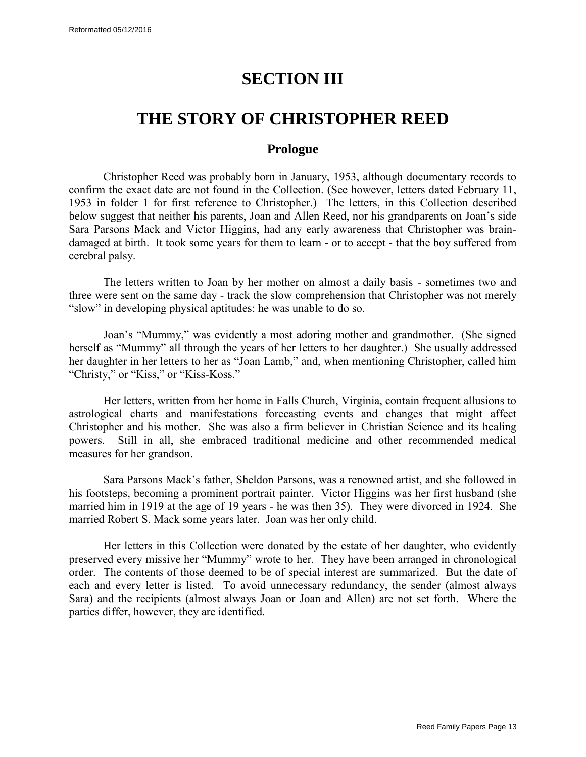## **SECTION III**

## <span id="page-12-0"></span>**THE STORY OF CHRISTOPHER REED**

## **Prologue**

Christopher Reed was probably born in January, 1953, although documentary records to confirm the exact date are not found in the Collection. (See however, letters dated February 11, 1953 in folder 1 for first reference to Christopher.) The letters, in this Collection described below suggest that neither his parents, Joan and Allen Reed, nor his grandparents on Joan's side Sara Parsons Mack and Victor Higgins, had any early awareness that Christopher was braindamaged at birth. It took some years for them to learn - or to accept - that the boy suffered from cerebral palsy.

The letters written to Joan by her mother on almost a daily basis - sometimes two and three were sent on the same day - track the slow comprehension that Christopher was not merely "slow" in developing physical aptitudes: he was unable to do so.

Joan's "Mummy," was evidently a most adoring mother and grandmother. (She signed herself as "Mummy" all through the years of her letters to her daughter.) She usually addressed her daughter in her letters to her as "Joan Lamb," and, when mentioning Christopher, called him "Christy," or "Kiss," or "Kiss-Koss."

Her letters, written from her home in Falls Church, Virginia, contain frequent allusions to astrological charts and manifestations forecasting events and changes that might affect Christopher and his mother. She was also a firm believer in Christian Science and its healing powers. Still in all, she embraced traditional medicine and other recommended medical measures for her grandson.

Sara Parsons Mack's father, Sheldon Parsons, was a renowned artist, and she followed in his footsteps, becoming a prominent portrait painter. Victor Higgins was her first husband (she married him in 1919 at the age of 19 years - he was then 35). They were divorced in 1924. She married Robert S. Mack some years later. Joan was her only child.

Her letters in this Collection were donated by the estate of her daughter, who evidently preserved every missive her "Mummy" wrote to her. They have been arranged in chronological order. The contents of those deemed to be of special interest are summarized. But the date of each and every letter is listed. To avoid unnecessary redundancy, the sender (almost always Sara) and the recipients (almost always Joan or Joan and Allen) are not set forth. Where the parties differ, however, they are identified.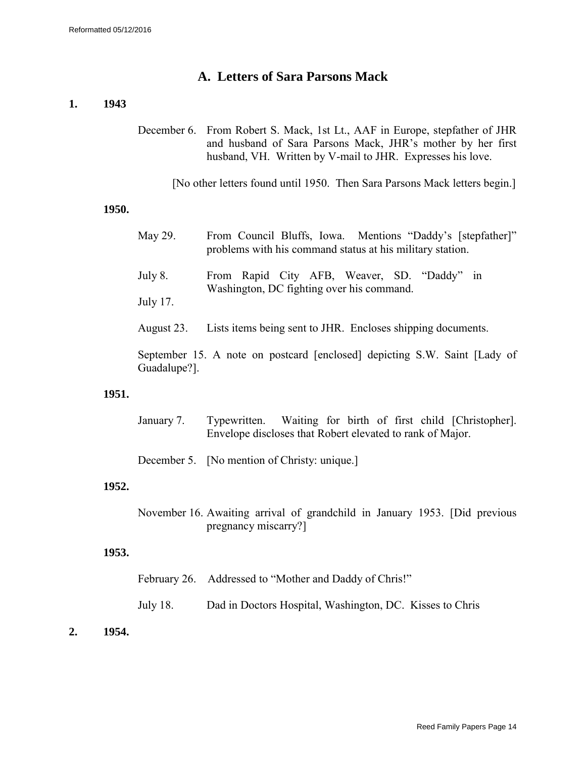### **A. Letters of Sara Parsons Mack**

#### **1. 1943**

December 6. From Robert S. Mack, 1st Lt., AAF in Europe, stepfather of JHR and husband of Sara Parsons Mack, JHR's mother by her first husband, VH. Written by V-mail to JHR. Expresses his love.

[No other letters found until 1950. Then Sara Parsons Mack letters begin.]

#### **1950.**

- May 29. From Council Bluffs, Iowa. Mentions "Daddy's [stepfather]" problems with his command status at his military station.
- July 8. From Rapid City AFB, Weaver, SD. "Daddy" in Washington, DC fighting over his command.
- July 17.
- August 23. Lists items being sent to JHR. Encloses shipping documents.

September 15. A note on postcard [enclosed] depicting S.W. Saint [Lady of Guadalupe?].

#### **1951.**

January 7. Typewritten. Waiting for birth of first child [Christopher]. Envelope discloses that Robert elevated to rank of Major.

December 5. [No mention of Christy: unique.]

#### **1952.**

November 16. Awaiting arrival of grandchild in January 1953. [Did previous pregnancy miscarry?]

- February 26. Addressed to "Mother and Daddy of Chris!"
- July 18. Dad in Doctors Hospital, Washington, DC. Kisses to Chris
- **2. 1954.**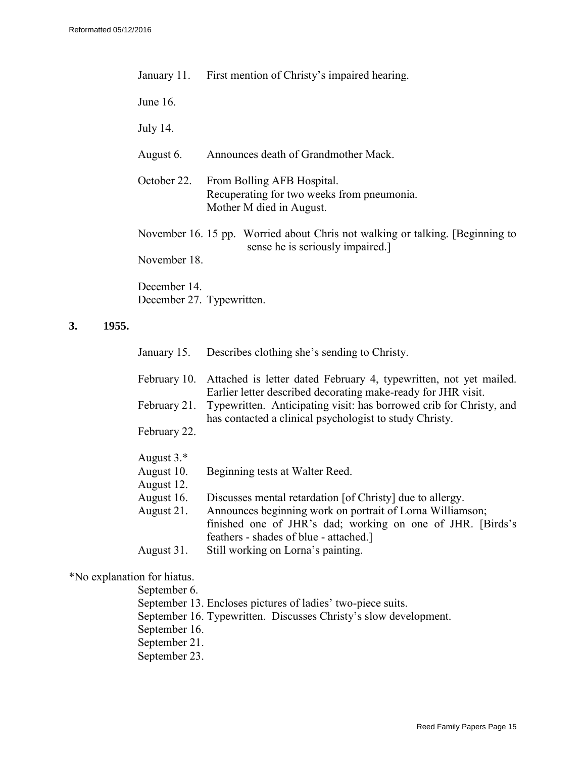| January 11.                               | First mention of Christy's impaired hearing.                                                                     |
|-------------------------------------------|------------------------------------------------------------------------------------------------------------------|
| June $16$ .                               |                                                                                                                  |
| July 14.                                  |                                                                                                                  |
| August 6.                                 | Announces death of Grandmother Mack.                                                                             |
| October 22.                               | From Bolling AFB Hospital.<br>Recuperating for two weeks from pneumonia.<br>Mother M died in August.             |
|                                           | November 16. 15 pp. Worried about Chris not walking or talking. [Beginning to<br>sense he is seriously impaired. |
| November 18.                              |                                                                                                                  |
| December 14.<br>December 27. Typewritten. |                                                                                                                  |

#### **3. 1955.**

|              | January 15. Describes clothing she's sending to Christy.                                                                                                          |
|--------------|-------------------------------------------------------------------------------------------------------------------------------------------------------------------|
| February 10. | Attached is letter dated February 4, typewritten, not yet mailed.<br>Earlier letter described decorating make-ready for JHR visit.                                |
| February 21. | Typewritten. Anticipating visit: has borrowed crib for Christy, and<br>has contacted a clinical psychologist to study Christy.                                    |
| February 22. |                                                                                                                                                                   |
| August $3.*$ |                                                                                                                                                                   |
| August 10.   | Beginning tests at Walter Reed.                                                                                                                                   |
| August 12.   |                                                                                                                                                                   |
| August 16.   | Discusses mental retardation [of Christy] due to allergy.                                                                                                         |
| August 21.   | Announces beginning work on portrait of Lorna Williamson;<br>finished one of JHR's dad; working on one of JHR. [Birds's<br>feathers - shades of blue - attached.] |
| August 31.   | Still working on Lorna's painting.                                                                                                                                |

## \*No explanation for hiatus.

September 6. September 13. Encloses pictures of ladies' two-piece suits. September 16. Typewritten. Discusses Christy's slow development. September 16. September 21. September 23.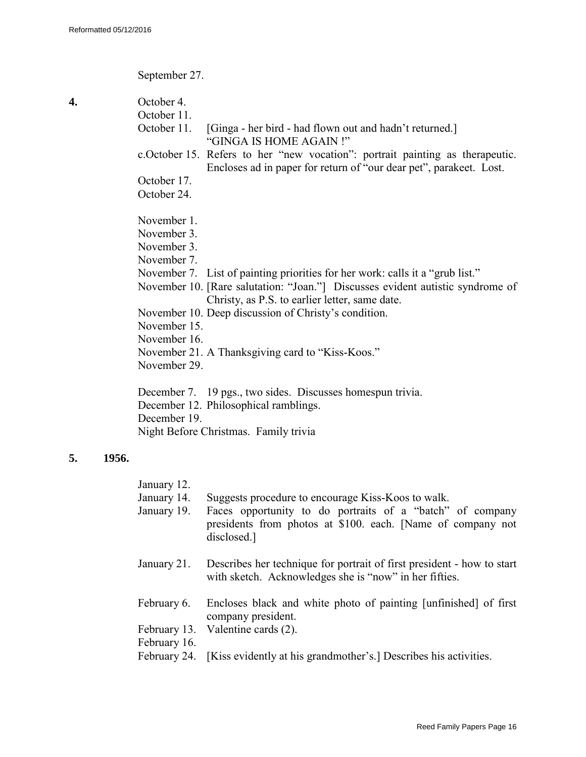September 27.

| 4. | October 4.                                                                                                                                           |
|----|------------------------------------------------------------------------------------------------------------------------------------------------------|
|    | October 11.                                                                                                                                          |
|    | October 11.<br>[Ginga - her bird - had flown out and hadn't returned.]<br>"GINGA IS HOME AGAIN!"                                                     |
|    | c. October 15. Refers to her "new vocation": portrait painting as therapeutic.<br>Encloses ad in paper for return of "our dear pet", parakeet. Lost. |
|    | October 17.                                                                                                                                          |
|    | October 24.                                                                                                                                          |
|    | November 1.                                                                                                                                          |
|    | November 3.                                                                                                                                          |
|    | November 3.                                                                                                                                          |
|    | November 7.                                                                                                                                          |
|    | November 7. List of painting priorities for her work: calls it a "grub list."                                                                        |
|    | November 10. [Rare salutation: "Joan."] Discusses evident autistic syndrome of                                                                       |
|    | Christy, as P.S. to earlier letter, same date.                                                                                                       |
|    | November 10. Deep discussion of Christy's condition.                                                                                                 |
|    | November 15.                                                                                                                                         |
|    | November 16.                                                                                                                                         |
|    | November 21. A Thanksgiving card to "Kiss-Koos."                                                                                                     |
|    | November 29.                                                                                                                                         |
|    | December 7. 19 pgs., two sides. Discusses homespun trivia.                                                                                           |
|    | December 12. Philosophical ramblings.                                                                                                                |

December 19.

Night Before Christmas. Family trivia

### **5. 1956.**

| January |  |
|---------|--|
|---------|--|

- January 14. Suggests procedure to encourage Kiss-Koos to walk.
- January 19. Faces opportunity to do portraits of a "batch" of company presidents from photos at \$100. each. [Name of company not disclosed.]
- January 21. Describes her technique for portrait of first president how to start with sketch. Acknowledges she is "now" in her fifties.
- February 6. Encloses black and white photo of painting [unfinished] of first company president.
- February 13. Valentine cards (2).
- February 16.
- February 24. [Kiss evidently at his grandmother's.] Describes his activities.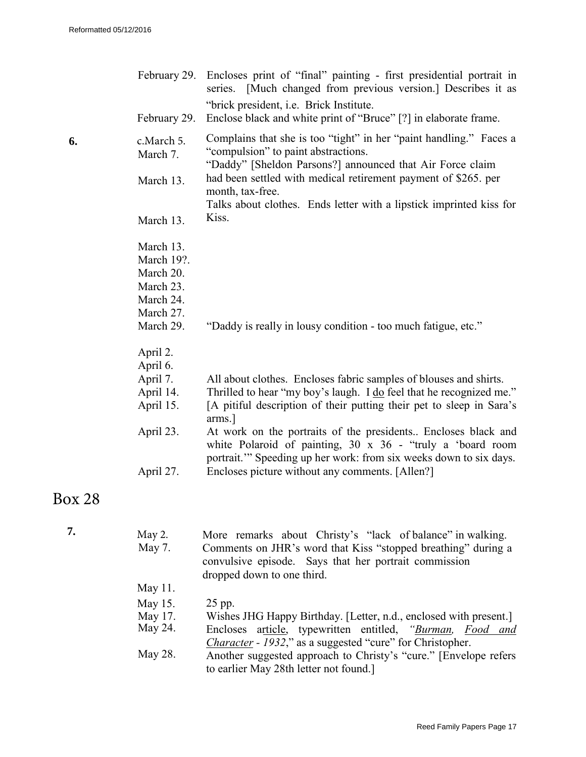|    | February 29.<br>February 29.                                                             | Encloses print of "final" painting - first presidential portrait in<br>series. [Much changed from previous version.] Describes it as<br>"brick president, <i>i.e.</i> Brick Institute.<br>Enclose black and white print of "Bruce" [?] in elaborate frame.                                                                                                                                                                                                                               |
|----|------------------------------------------------------------------------------------------|------------------------------------------------------------------------------------------------------------------------------------------------------------------------------------------------------------------------------------------------------------------------------------------------------------------------------------------------------------------------------------------------------------------------------------------------------------------------------------------|
| 6. | c.March 5.<br>March 7.<br>March 13.<br>March 13.                                         | Complains that she is too "tight" in her "paint handling." Faces a<br>"compulsion" to paint abstractions.<br>"Daddy" [Sheldon Parsons?] announced that Air Force claim<br>had been settled with medical retirement payment of \$265, per<br>month, tax-free.<br>Talks about clothes. Ends letter with a lipstick imprinted kiss for<br>Kiss.                                                                                                                                             |
|    | March 13.<br>March 19?.<br>March 20.<br>March 23.<br>March 24.<br>March 27.<br>March 29. | "Daddy is really in lousy condition - too much fatigue, etc."                                                                                                                                                                                                                                                                                                                                                                                                                            |
|    | April 2.<br>April 6.<br>April 7.<br>April 14.<br>April 15.<br>April 23.<br>April 27.     | All about clothes. Encloses fabric samples of blouses and shirts.<br>Thrilled to hear "my boy's laugh. I do feel that he recognized me."<br>[A pitiful description of their putting their pet to sleep in Sara's<br>arms.]<br>At work on the portraits of the presidents Encloses black and<br>white Polaroid of painting, $30 \times 36$ - "truly a 'board room<br>portrait." Speeding up her work: from six weeks down to six days.<br>Encloses picture without any comments. [Allen?] |

## Box 28

| May 2.  | More remarks about Christy's "lack of balance" in walking.                                                                                                                      |
|---------|---------------------------------------------------------------------------------------------------------------------------------------------------------------------------------|
| May 7.  | Comments on JHR's word that Kiss "stopped breathing" during a<br>convulsive episode. Says that her portrait commission<br>dropped down to one third.                            |
| May 11. |                                                                                                                                                                                 |
| May 15. | 25 pp.                                                                                                                                                                          |
| May 17. | Wishes JHG Happy Birthday. [Letter, n.d., enclosed with present.]                                                                                                               |
| May 24. | Encloses article, typewritten entitled, "Burman, Food and                                                                                                                       |
| May 28. | <i>Character - 1932</i> ," as a suggested "cure" for Christopher.<br>Another suggested approach to Christy's "cure." [Envelope refers<br>to earlier May 28th letter not found.] |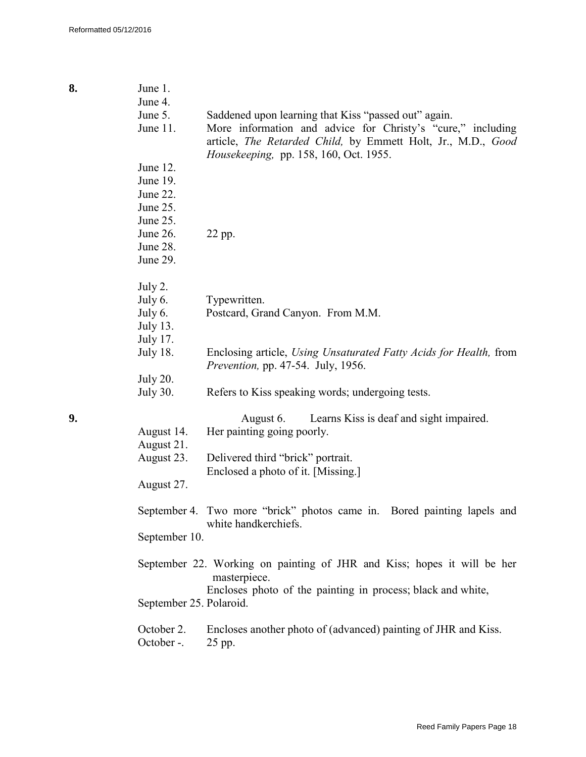| 8. | June 1.<br>June 4.                                                   |                                                                                                                                                                                                                               |  |  |  |  |  |
|----|----------------------------------------------------------------------|-------------------------------------------------------------------------------------------------------------------------------------------------------------------------------------------------------------------------------|--|--|--|--|--|
|    | June 5.<br>June 11.                                                  | Saddened upon learning that Kiss "passed out" again.<br>More information and advice for Christy's "cure," including<br>article, The Retarded Child, by Emmett Holt, Jr., M.D., Good<br>Housekeeping, pp. 158, 160, Oct. 1955. |  |  |  |  |  |
|    | June 12.<br>June 19.<br>June 22.<br>June 25.<br>June 25.<br>June 26. | 22 pp.                                                                                                                                                                                                                        |  |  |  |  |  |
|    | June 28.<br>June 29.                                                 |                                                                                                                                                                                                                               |  |  |  |  |  |
|    | July 2.<br>July 6.<br>July 6.<br><b>July 13.</b><br><b>July 17.</b>  | Typewritten.<br>Postcard, Grand Canyon. From M.M.                                                                                                                                                                             |  |  |  |  |  |
|    | <b>July 18.</b>                                                      | Enclosing article, Using Unsaturated Fatty Acids for Health, from<br><i>Prevention, pp. 47-54. July, 1956.</i>                                                                                                                |  |  |  |  |  |
|    | <b>July 20.</b><br><b>July 30.</b>                                   | Refers to Kiss speaking words; undergoing tests.                                                                                                                                                                              |  |  |  |  |  |
| 9. | August 14.<br>August 21.<br>August 23.<br>August 27.                 | Learns Kiss is deaf and sight impaired.<br>August 6.<br>Her painting going poorly.<br>Delivered third "brick" portrait.<br>Enclosed a photo of it. [Missing.]                                                                 |  |  |  |  |  |
|    |                                                                      | September 4. Two more "brick" photos came in. Bored painting lapels and<br>white handkerchiefs.                                                                                                                               |  |  |  |  |  |
|    | September 10.                                                        |                                                                                                                                                                                                                               |  |  |  |  |  |
|    |                                                                      | September 22. Working on painting of JHR and Kiss; hopes it will be her<br>masterpiece.<br>Encloses photo of the painting in process; black and white,                                                                        |  |  |  |  |  |
|    | September 25. Polaroid.                                              |                                                                                                                                                                                                                               |  |  |  |  |  |
|    | October 2.<br>October -.                                             | Encloses another photo of (advanced) painting of JHR and Kiss.<br>25 pp.                                                                                                                                                      |  |  |  |  |  |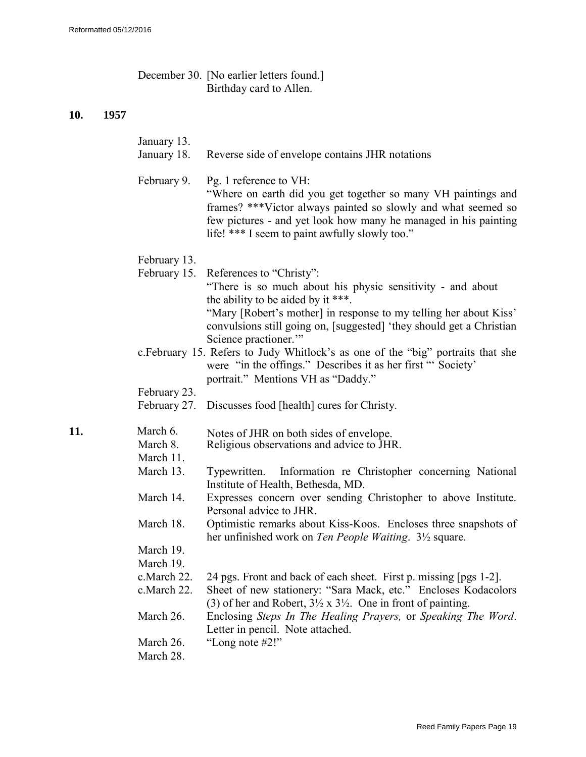| December 30. [No earlier letters found.] |
|------------------------------------------|
| Birthday card to Allen.                  |

| January 13.<br>January 18.                            | Reverse side of envelope contains JHR notations                                                                                                                                                                                                                                                   |
|-------------------------------------------------------|---------------------------------------------------------------------------------------------------------------------------------------------------------------------------------------------------------------------------------------------------------------------------------------------------|
| February 9.                                           | Pg. 1 reference to VH:<br>"Where on earth did you get together so many VH paintings and<br>frames? ***Victor always painted so slowly and what seemed so<br>few pictures - and yet look how many he managed in his painting<br>life! *** I seem to paint awfully slowly too."                     |
| February 13.                                          |                                                                                                                                                                                                                                                                                                   |
| February 15.                                          | References to "Christy":<br>"There is so much about his physic sensitivity - and about<br>the ability to be aided by it ***.<br>"Mary [Robert's mother] in response to my telling her about Kiss"<br>convulsions still going on, [suggested] 'they should get a Christian<br>Science practioner." |
|                                                       | c.February 15. Refers to Judy Whitlock's as one of the "big" portraits that she<br>were "in the offings." Describes it as her first "" Society'<br>portrait." Mentions VH as "Daddy."                                                                                                             |
| February 23.                                          |                                                                                                                                                                                                                                                                                                   |
| February 27.                                          | Discusses food [health] cures for Christy.                                                                                                                                                                                                                                                        |
| March 6.<br>11.<br>March 8.<br>March 11.<br>March 13. | Notes of JHR on both sides of envelope.<br>Religious observations and advice to JHR.<br>Information re Christopher concerning National<br>Typewritten.<br>Institute of Health, Bethesda, MD.                                                                                                      |
| March 14.                                             | Expresses concern over sending Christopher to above Institute.<br>Personal advice to JHR.                                                                                                                                                                                                         |
| March 18.                                             | Optimistic remarks about Kiss-Koos. Encloses three snapshots of<br>her unfinished work on Ten People Waiting. 3 <sup>1</sup> / <sub>2</sub> square.                                                                                                                                               |
| March 19.                                             |                                                                                                                                                                                                                                                                                                   |
| March 19.                                             |                                                                                                                                                                                                                                                                                                   |
| c.March 22.<br>c.March 22.                            | 24 pgs. Front and back of each sheet. First p. missing [pgs 1-2].<br>Sheet of new stationery: "Sara Mack, etc." Encloses Kodacolors<br>(3) of her and Robert, $3\frac{1}{2} \times 3\frac{1}{2}$ . One in front of painting.                                                                      |
| March 26.                                             | Enclosing Steps In The Healing Prayers, or Speaking The Word.<br>Letter in pencil. Note attached.                                                                                                                                                                                                 |
| March 26.<br>March 28.                                | "Long note $#2!"$                                                                                                                                                                                                                                                                                 |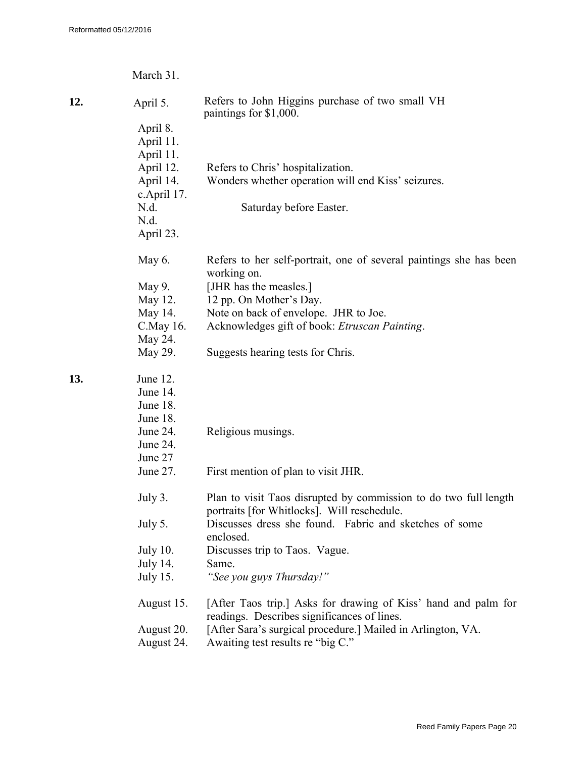|     | March 31.       |                                                                                                               |
|-----|-----------------|---------------------------------------------------------------------------------------------------------------|
| 12. | April 5.        | Refers to John Higgins purchase of two small VH<br>paintings for \$1,000.                                     |
|     | April 8.        |                                                                                                               |
|     | April 11.       |                                                                                                               |
|     | April 11.       |                                                                                                               |
|     | April 12.       | Refers to Chris' hospitalization.                                                                             |
|     | April 14.       | Wonders whether operation will end Kiss' seizures.                                                            |
|     | c.April 17.     |                                                                                                               |
|     | N.d.            | Saturday before Easter.                                                                                       |
|     | N.d.            |                                                                                                               |
|     | April 23.       |                                                                                                               |
|     | May 6.          | Refers to her self-portrait, one of several paintings she has been                                            |
|     |                 | working on.                                                                                                   |
|     | May 9.          | [JHR has the measles.]                                                                                        |
|     | May 12.         | 12 pp. On Mother's Day.                                                                                       |
|     | May 14.         | Note on back of envelope. JHR to Joe.                                                                         |
|     | C. May 16.      | Acknowledges gift of book: Etruscan Painting.                                                                 |
|     | May 24.         |                                                                                                               |
|     | May 29.         | Suggests hearing tests for Chris.                                                                             |
| 13. | June 12.        |                                                                                                               |
|     | June 14.        |                                                                                                               |
|     | June 18.        |                                                                                                               |
|     | June 18.        |                                                                                                               |
|     | June 24.        | Religious musings.                                                                                            |
|     | June 24.        |                                                                                                               |
|     | June 27         |                                                                                                               |
|     | June 27.        | First mention of plan to visit JHR.                                                                           |
|     | July 3.         | Plan to visit Taos disrupted by commission to do two full length                                              |
|     |                 | portraits [for Whitlocks]. Will reschedule.                                                                   |
|     | July 5.         | Discusses dress she found. Fabric and sketches of some<br>enclosed.                                           |
|     | <b>July 10.</b> | Discusses trip to Taos. Vague.                                                                                |
|     | <b>July 14.</b> | Same.                                                                                                         |
|     | <b>July 15.</b> | "See you guys Thursday!"                                                                                      |
|     |                 |                                                                                                               |
|     | August 15.      | [After Taos trip.] Asks for drawing of Kiss' hand and palm for<br>readings. Describes significances of lines. |
|     | August 20.      | [After Sara's surgical procedure.] Mailed in Arlington, VA.                                                   |
|     | August 24.      | Awaiting test results re "big C."                                                                             |
|     |                 |                                                                                                               |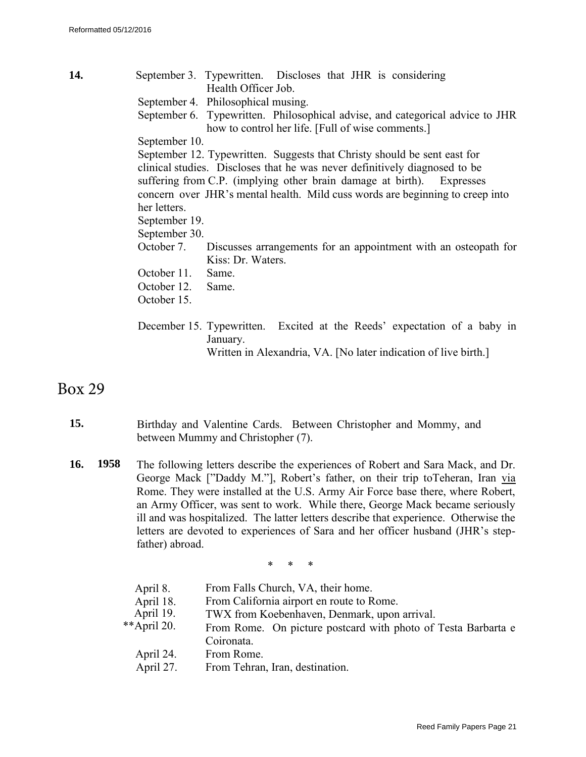**14.** September 3. Typewritten. Discloses that JHR is considering Health Officer Job. September 4. Philosophical musing. September 6. Typewritten. Philosophical advise, and categorical advice to JHR how to control her life. [Full of wise comments.] September 10. September 12. Typewritten. Suggests that Christy should be sent east for clinical studies. Discloses that he was never definitively diagnosed to be suffering from C.P. (implying other brain damage at birth). Expresses concern over JHR's mental health. Mild cuss words are beginning to creep into her letters. September 19. September 30. October 7. Discusses arrangements for an appointment with an osteopath for Kiss: Dr. Waters. October 11. Same. October 12. Same. October 15. December 15. Typewritten. Excited at the Reeds' expectation of a baby in January. Written in Alexandria, VA. [No later indication of live birth.]

## Box 29

- **15.** Birthday and Valentine Cards. Between Christopher and Mommy, and between Mummy and Christopher (7).
- **16. 1958** The following letters describe the experiences of Robert and Sara Mack, and Dr. George Mack ["Daddy M."], Robert's father, on their trip toTeheran, Iran via Rome. They were installed at the U.S. Army Air Force base there, where Robert, an Army Officer, was sent to work. While there, George Mack became seriously ill and was hospitalized. The latter letters describe that experience. Otherwise the letters are devoted to experiences of Sara and her officer husband (JHR's stepfather) abroad.

\* \* \*

| April 8.    | From Falls Church, VA, their home.                            |  |  |  |
|-------------|---------------------------------------------------------------|--|--|--|
| April 18.   | From California airport en route to Rome.                     |  |  |  |
| April 19.   | TWX from Koebenhaven, Denmark, upon arrival.                  |  |  |  |
| **April 20. | From Rome. On picture postcard with photo of Testa Barbarta e |  |  |  |
|             | Coironata.                                                    |  |  |  |
| April 24.   | From Rome.                                                    |  |  |  |
| April 27.   | From Tehran, Iran, destination.                               |  |  |  |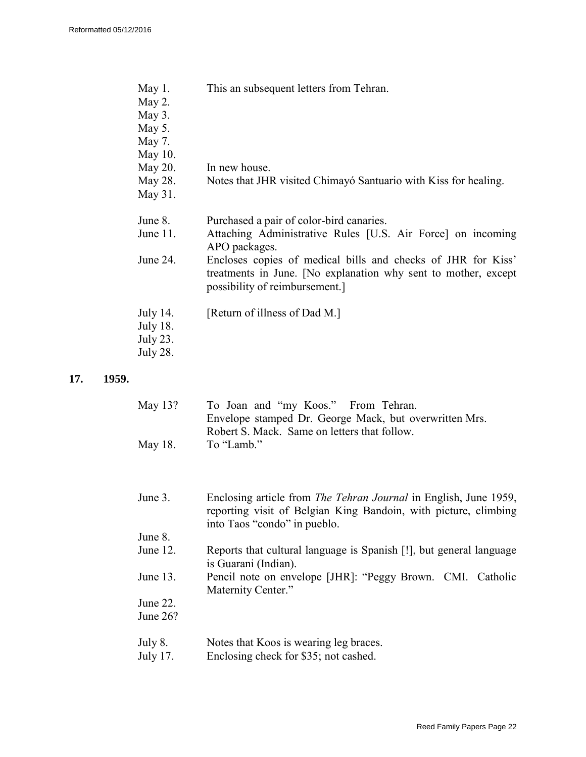| May 1.<br>May 2.<br>May 3.<br>May 5.<br>May 7.<br>May 10.  | This an subsequent letters from Tehran.                                                                                                                         |
|------------------------------------------------------------|-----------------------------------------------------------------------------------------------------------------------------------------------------------------|
| May 20.                                                    | In new house.                                                                                                                                                   |
| May 28.<br>May 31.                                         | Notes that JHR visited Chimayó Santuario with Kiss for healing.                                                                                                 |
| June 8.<br>June $11$ .                                     | Purchased a pair of color-bird canaries.<br>Attaching Administrative Rules [U.S. Air Force] on incoming<br>APO packages.                                        |
| June 24.                                                   | Encloses copies of medical bills and checks of JHR for Kiss'<br>treatments in June. [No explanation why sent to mother, except<br>possibility of reimbursement. |
| July 14.<br><b>July 18.</b><br>July 23.<br><b>July 28.</b> | [Return of illness of Dad M.]                                                                                                                                   |

#### **17. 1959.**

| May 13? | To Joan and "my Koos." From Tehran.                    |
|---------|--------------------------------------------------------|
|         | Envelope stamped Dr. George Mack, but overwritten Mrs. |
|         | Robert S. Mack. Same on letters that follow.           |
| May 18. | To "Lamb."                                             |

| June 3. | Enclosing article from <i>The Tehran Journal</i> in English, June 1959, |
|---------|-------------------------------------------------------------------------|
|         | reporting visit of Belgian King Bandoin, with picture, climbing         |
|         | into Taos "condo" in pueblo.                                            |

- June 8.<br>June 12. Reports that cultural language is Spanish [!], but general language is Guarani (Indian).
- June 13. Pencil note on envelope [JHR]: "Peggy Brown. CMI. Catholic Maternity Center."

June 22. June 26?

- July 8. Notes that Koos is wearing leg braces.
- July 17. Enclosing check for \$35; not cashed.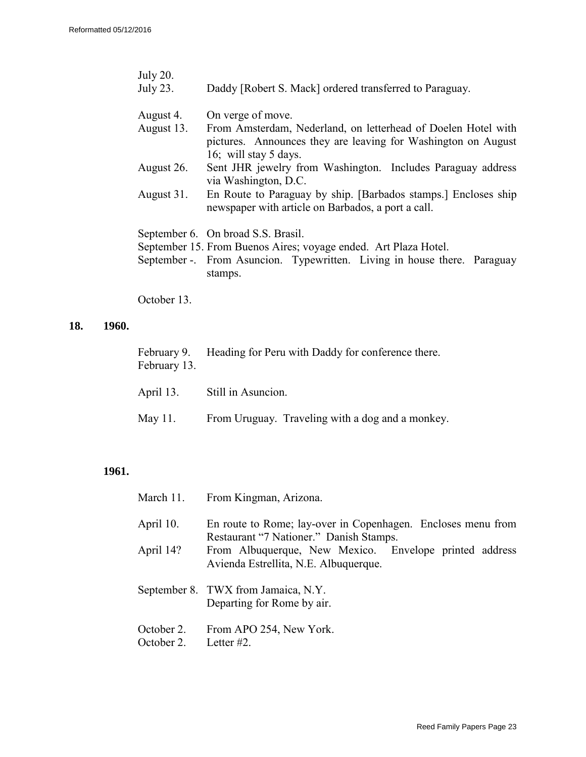| <b>July 20.</b><br>July 23. | Daddy [Robert S. Mack] ordered transferred to Paraguay.                                                                                                 |  |  |  |  |  |  |  |
|-----------------------------|---------------------------------------------------------------------------------------------------------------------------------------------------------|--|--|--|--|--|--|--|
| August 4.                   | On verge of move.                                                                                                                                       |  |  |  |  |  |  |  |
| August 13.                  | From Amsterdam, Nederland, on letterhead of Doelen Hotel with<br>pictures. Announces they are leaving for Washington on August<br>16; will stay 5 days. |  |  |  |  |  |  |  |
| August 26.                  | Sent JHR jewelry from Washington. Includes Paraguay address<br>via Washington, D.C.                                                                     |  |  |  |  |  |  |  |
| August 31.                  | En Route to Paraguay by ship. [Barbados stamps.] Encloses ship<br>newspaper with article on Barbados, a port a call.                                    |  |  |  |  |  |  |  |
|                             | September 6. On broad S.S. Brasil.                                                                                                                      |  |  |  |  |  |  |  |
|                             | September 15. From Buenos Aires; voyage ended. Art Plaza Hotel.<br>September -. From Asuncion. Typewritten. Living in house there. Paraguay<br>stamps.  |  |  |  |  |  |  |  |

October 13.

### **18. 1960.**

| February 13. | February 9. Heading for Peru with Daddy for conference there. |  |  |  |
|--------------|---------------------------------------------------------------|--|--|--|
|              | April 13. Still in Asuncion.                                  |  |  |  |
|              | May 11. From Uruguay. Traveling with a dog and a monkey.      |  |  |  |

| March 11.                | From Kingman, Arizona.                                                                                  |  |  |  |  |  |  |
|--------------------------|---------------------------------------------------------------------------------------------------------|--|--|--|--|--|--|
| April 10.                | En route to Rome; lay-over in Copenhagen. Encloses menu from<br>Restaurant "7 Nationer." Danish Stamps. |  |  |  |  |  |  |
| April 14?                | From Albuquerque, New Mexico. Envelope printed address<br>Avienda Estrellita, N.E. Albuquerque.         |  |  |  |  |  |  |
|                          | September 8. TWX from Jamaica, N.Y.<br>Departing for Rome by air.                                       |  |  |  |  |  |  |
| October 2.<br>October 2. | From APO 254, New York.<br>Letter #2.                                                                   |  |  |  |  |  |  |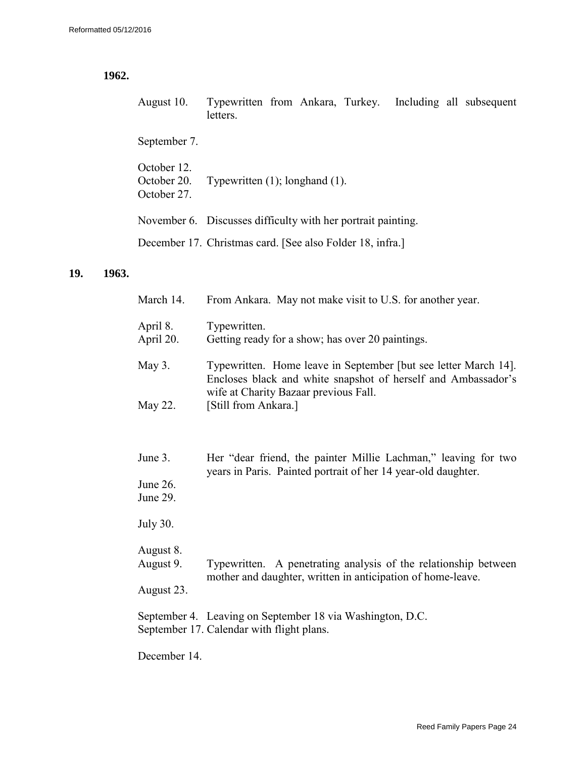## **1962.**

| August 10. Typewritten from Ankara, Turkey. Including all subsequent |          |  |  |  |
|----------------------------------------------------------------------|----------|--|--|--|
|                                                                      | letters. |  |  |  |
|                                                                      |          |  |  |  |

September 7.

| October 12.<br>October 20.<br>October 27. | Typewritten $(1)$ ; longhand $(1)$ .                         |
|-------------------------------------------|--------------------------------------------------------------|
|                                           | November 6. Discusses difficulty with her portrait painting. |
|                                           | December 17. Christmas card. [See also Folder 18, infra.]    |

### **19. 1963.**

| March 14.              | From Ankara. May not make visit to U.S. for another year.                                                                        |  |
|------------------------|----------------------------------------------------------------------------------------------------------------------------------|--|
| April 8.<br>April 20.  | Typewritten.<br>Getting ready for a show; has over 20 paintings.                                                                 |  |
| May 3.                 | Typewritten. Home leave in September [but see letter March 14].<br>Encloses black and white snapshot of herself and Ambassador's |  |
| May 22.                | wife at Charity Bazaar previous Fall.<br>[Still from Ankara.]                                                                    |  |
| June 3.                | Her "dear friend, the painter Millie Lachman," leaving for two<br>years in Paris. Painted portrait of her 14 year-old daughter.  |  |
| June 26.<br>June 29.   |                                                                                                                                  |  |
| <b>July 30.</b>        |                                                                                                                                  |  |
| August 8.<br>August 9. | Typewritten. A penetrating analysis of the relationship between<br>mother and daughter, written in anticipation of home-leave.   |  |
| August 23.             |                                                                                                                                  |  |
|                        | September 4. Leaving on September 18 via Washington, D.C.<br>September 17. Calendar with flight plans.                           |  |
| December 14.           |                                                                                                                                  |  |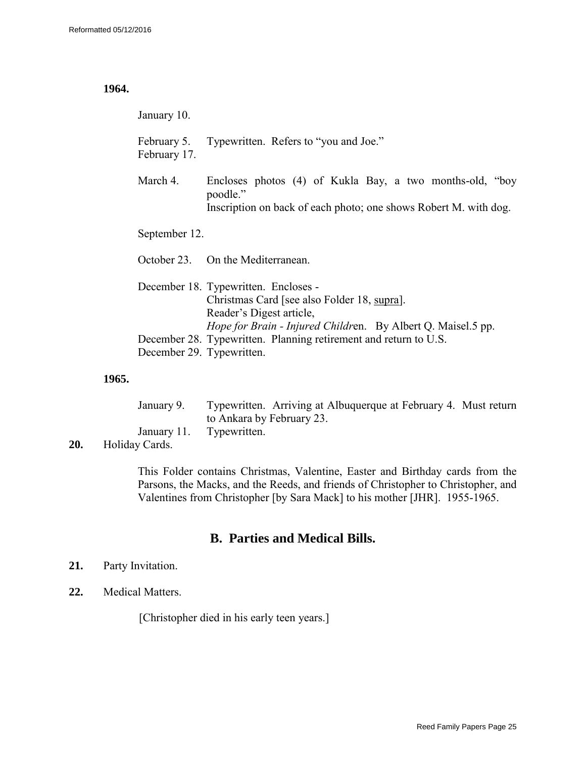#### **1964.**

January 10.

February 5. Typewritten. Refers to "you and Joe." February 17.

March 4. Encloses photos (4) of Kukla Bay, a two months-old, "boy poodle." Inscription on back of each photo; one shows Robert M. with dog.

September 12.

October 23. On the Mediterranean.

|                           | December 18. Typewritten. Encloses -                                |
|---------------------------|---------------------------------------------------------------------|
|                           | Christmas Card [see also Folder 18, supra].                         |
|                           | Reader's Digest article.                                            |
|                           | <i>Hope for Brain - Injured Children.</i> By Albert Q. Maisel.5 pp. |
|                           | December 28. Typewritten. Planning retirement and return to U.S.    |
| December 29. Typewritten. |                                                                     |

#### **1965.**

| January 9.               | Typewritten. Arriving at Albuquerque at February 4. Must return |  |
|--------------------------|-----------------------------------------------------------------|--|
|                          | to Ankara by February 23.                                       |  |
| January 11. Typewritten. |                                                                 |  |

**20.** Holiday Cards.

This Folder contains Christmas, Valentine, Easter and Birthday cards from the Parsons, the Macks, and the Reeds, and friends of Christopher to Christopher, and Valentines from Christopher [by Sara Mack] to his mother [JHR]. 1955-1965.

## **B. Parties and Medical Bills.**

### **21.** Party Invitation.

**22.** Medical Matters.

[Christopher died in his early teen years.]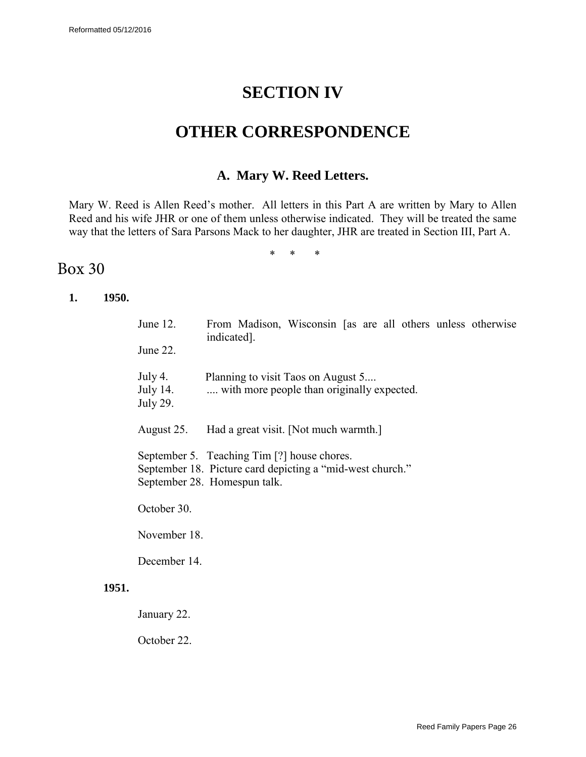# **SECTION IV**

## **OTHER CORRESPONDENCE**

## **A. Mary W. Reed Letters.**

Mary W. Reed is Allen Reed's mother. All letters in this Part A are written by Mary to Allen Reed and his wife JHR or one of them unless otherwise indicated. They will be treated the same way that the letters of Sara Parsons Mack to her daughter, JHR are treated in Section III, Part A.

\* \* \*

## Box 30

**1. 1950.**

| June $12$ .<br>June 22.                                                                                                                  | From Madison, Wisconsin [as are all others unless otherwise<br>indicated.        |  |
|------------------------------------------------------------------------------------------------------------------------------------------|----------------------------------------------------------------------------------|--|
| July 4.<br>July 14.<br>July 29.                                                                                                          | Planning to visit Taos on August 5<br>with more people than originally expected. |  |
| August 25.                                                                                                                               | Had a great visit. [Not much warmth.]                                            |  |
| September 5. Teaching Tim [?] house chores.<br>September 18. Picture card depicting a "mid-west church."<br>September 28. Homespun talk. |                                                                                  |  |
| October 30.                                                                                                                              |                                                                                  |  |
| November 18.                                                                                                                             |                                                                                  |  |
| December 14.                                                                                                                             |                                                                                  |  |

### **1951.**

January 22.

October 22.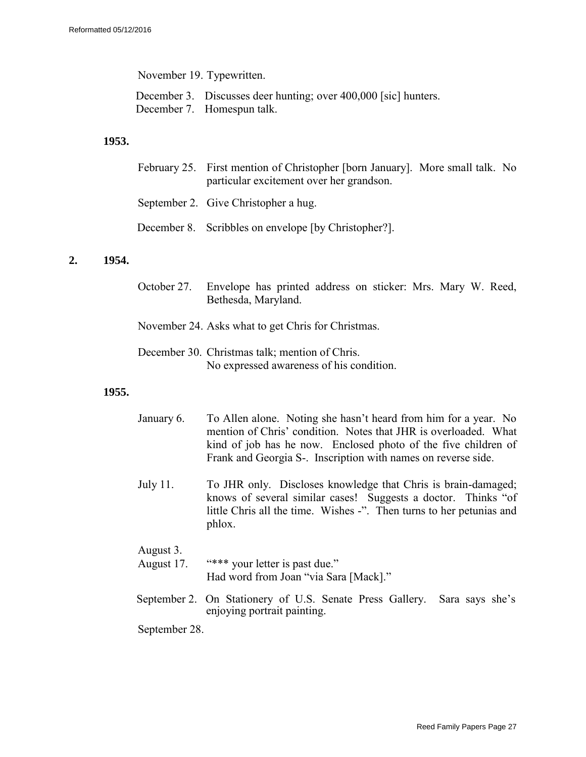November 19. Typewritten.

- December 3. Discusses deer hunting; over 400,000 [sic] hunters.
- December 7. Homespun talk.

#### **1953.**

| February 25. First mention of Christopher [born January]. More small talk. No<br>particular excitement over her grandson. |  |
|---------------------------------------------------------------------------------------------------------------------------|--|
| September 2. Give Christopher a hug.                                                                                      |  |
| December 8. Scribbles on envelope [by Christopher?].                                                                      |  |

#### **2. 1954.**

October 27. Envelope has printed address on sticker: Mrs. Mary W. Reed, Bethesda, Maryland.

November 24. Asks what to get Chris for Christmas.

December 30. Christmas talk; mention of Chris. No expressed awareness of his condition.

#### **1955.**

| January 6. | To Allen alone. Noting she hasn't heard from him for a year. No |
|------------|-----------------------------------------------------------------|
|            | mention of Chris' condition. Notes that JHR is overloaded. What |
|            | kind of job has he now. Enclosed photo of the five children of  |
|            | Frank and Georgia S-. Inscription with names on reverse side.   |
|            |                                                                 |

July 11. To JHR only. Discloses knowledge that Chris is brain-damaged; knows of several similar cases! Suggests a doctor. Thinks "of little Chris all the time. Wishes -". Then turns to her petunias and phlox.

### August 3.

August 17. "\*\*\* your letter is past due." Had word from Joan "via Sara [Mack]."

September 2. On Stationery of U.S. Senate Press Gallery. Sara says she's enjoying portrait painting.

September 28.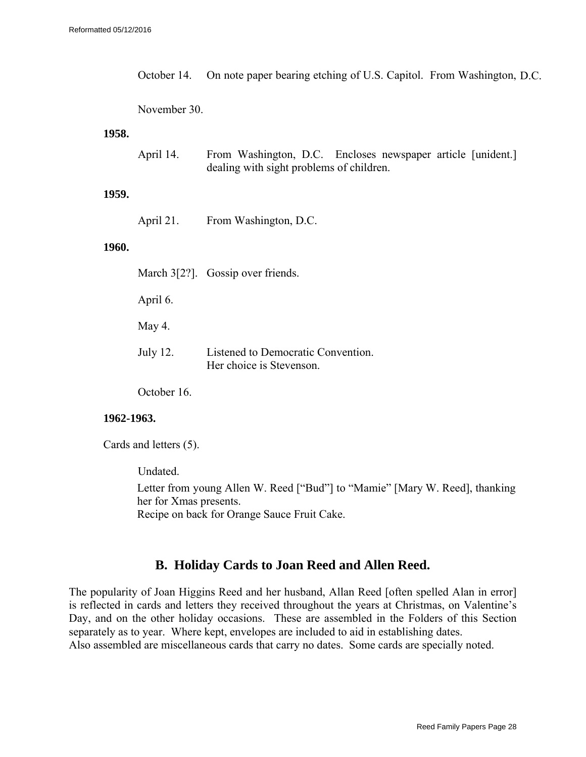October 14. On note paper bearing etching of U.S. Capitol. From Washington, D.C.

#### November 30.

#### **1958.**

| April 14. | From Washington, D.C. Encloses newspaper article [unident.] |  |  |  |
|-----------|-------------------------------------------------------------|--|--|--|
|           | dealing with sight problems of children.                    |  |  |  |

#### **1959.**

April 21. From Washington, D.C.

### **1960.**

|            | March 3[2?]. Gossip over friends.                              |
|------------|----------------------------------------------------------------|
| April 6.   |                                                                |
| May 4.     |                                                                |
| July 12.   | Listened to Democratic Convention.<br>Her choice is Stevenson. |
| October 16 |                                                                |

#### **1962-1963.**

Cards and letters (5).

Undated.

Letter from young Allen W. Reed ["Bud"] to "Mamie" [Mary W. Reed], thanking her for Xmas presents. Recipe on back for Orange Sauce Fruit Cake.

### **B. Holiday Cards to Joan Reed and Allen Reed.**

The popularity of Joan Higgins Reed and her husband, Allan Reed [often spelled Alan in error] is reflected in cards and letters they received throughout the years at Christmas, on Valentine's Day, and on the other holiday occasions. These are assembled in the Folders of this Section separately as to year. Where kept, envelopes are included to aid in establishing dates. Also assembled are miscellaneous cards that carry no dates. Some cards are specially noted.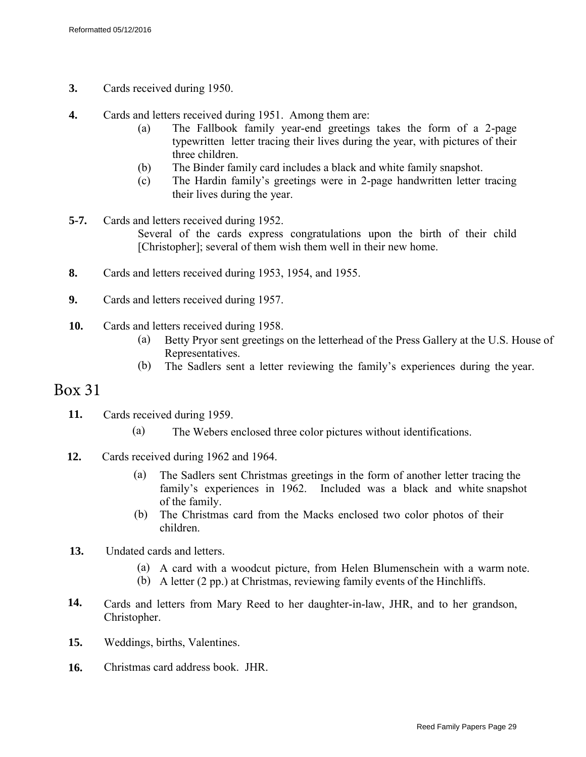- **3.** Cards received during 1950.
- **4.** Cards and letters received during 1951. Among them are:
	- (a) The Fallbook family year-end greetings takes the form of a 2-page typewritten letter tracing their lives during the year, with pictures of their three children.
	- (b) The Binder family card includes a black and white family snapshot.
	- (c) The Hardin family's greetings were in 2-page handwritten letter tracing their lives during the year.
- **5-7.** Cards and letters received during 1952. Several of the cards express congratulations upon the birth of their child [Christopher]; several of them wish them well in their new home.
- **8.** Cards and letters received during 1953, 1954, and 1955.
- **9.** Cards and letters received during 1957.
- **10.** Cards and letters received during 1958.
	- (a) Betty Pryor sent greetings on the letterhead of the Press Gallery at the U.S. House of Representatives.
	- (b) The Sadlers sent a letter reviewing the family's experiences during the year.

## Box 31

- **11.** Cards received during 1959.
	- (a) The Webers enclosed three color pictures without identifications.
- **12.** Cards received during 1962 and 1964.
	- (a) The Sadlers sent Christmas greetings in the form of another letter tracing the family's experiences in 1962. Included was a black and white snapshot of the family.
	- (b) The Christmas card from the Macks enclosed two color photos of their children.
- **13.** Undated cards and letters.
	- (a) A card with a woodcut picture, from Helen Blumenschein with a warm note.
	- (b) A letter (2 pp.) at Christmas, reviewing family events of the Hinchliffs.
- **14.** Cards and letters from Mary Reed to her daughter-in-law, JHR, and to her grandson, Christopher.
- **15.** Weddings, births, Valentines.
- **16.** Christmas card address book. JHR.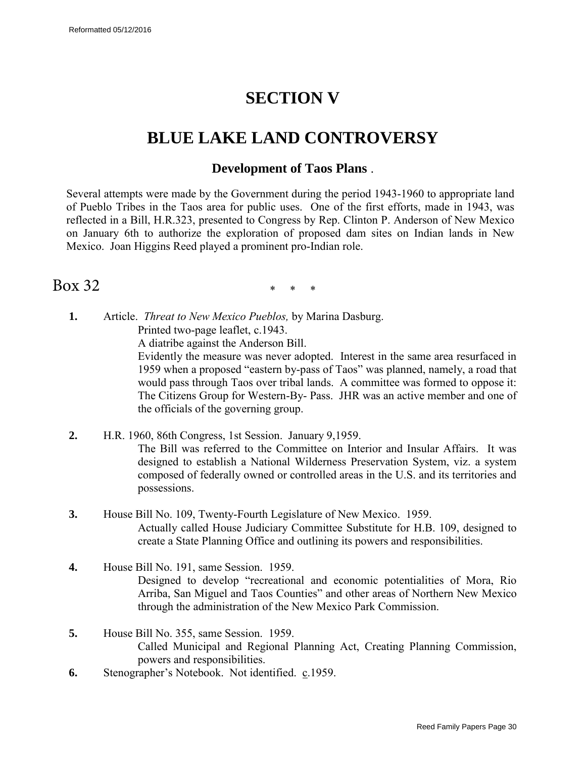# **SECTION V**

## <span id="page-29-0"></span>**BLUE LAKE LAND CONTROVERSY**

### **Development of Taos Plans** .

Several attempts were made by the Government during the period 1943-1960 to appropriate land of Pueblo Tribes in the Taos area for public uses. One of the first efforts, made in 1943, was reflected in a Bill, H.R.323, presented to Congress by Rep. Clinton P. Anderson of New Mexico on January 6th to authorize the exploration of proposed dam sites on Indian lands in New Mexico. Joan Higgins Reed played a prominent pro-Indian role.

## Box 32

\* \* \*

**1.** Article. *Threat to New Mexico Pueblos,* by Marina Dasburg. Printed two-page leaflet, c.1943.

A diatribe against the Anderson Bill.

Evidently the measure was never adopted. Interest in the same area resurfaced in 1959 when a proposed "eastern by-pass of Taos" was planned, namely, a road that would pass through Taos over tribal lands. A committee was formed to oppose it: The Citizens Group for Western-By- Pass. JHR was an active member and one of the officials of the governing group.

- **2.** H.R. 1960, 86th Congress, 1st Session. January 9,1959. The Bill was referred to the Committee on Interior and Insular Affairs. It was designed to establish a National Wilderness Preservation System, viz. a system composed of federally owned or controlled areas in the U.S. and its territories and possessions.
- **3.** House Bill No. 109, Twenty-Fourth Legislature of New Mexico. 1959. Actually called House Judiciary Committee Substitute for H.B. 109, designed to create a State Planning Office and outlining its powers and responsibilities.
- **4.** House Bill No. 191, same Session. 1959. Designed to develop "recreational and economic potentialities of Mora, Rio Arriba, San Miguel and Taos Counties" and other areas of Northern New Mexico through the administration of the New Mexico Park Commission.
- **5.** House Bill No. 355, same Session. 1959. Called Municipal and Regional Planning Act, Creating Planning Commission, powers and responsibilities.
- **6.** Stenographer's Notebook. Not identified. c.1959.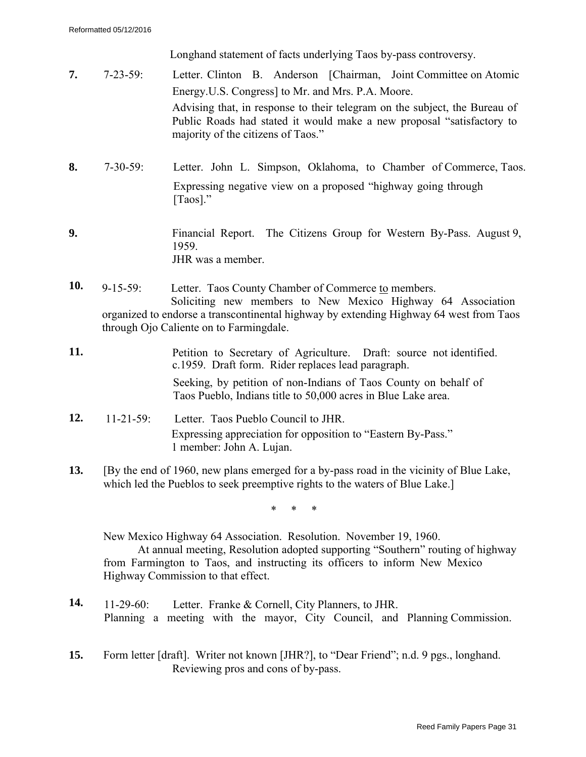Longhand statement of facts underlying Taos by-pass controversy.

- **7.** 7-23-59: Letter. Clinton B. Anderson [Chairman, Joint Committee on Atomic Energy.U.S. Congress] to Mr. and Mrs. P.A. Moore. Advising that, in response to their telegram on the subject, the Bureau of Public Roads had stated it would make a new proposal "satisfactory to majority of the citizens of Taos."
- **8.** 7-30-59: Letter. John L. Simpson, Oklahoma, to Chamber of Commerce, Taos. Expressing negative view on a proposed "highway going through [Taos]."
- **9.** Financial Report. The Citizens Group for Western By-Pass. August 9, 1959. JHR was a member.
- **10.** 9-15-59: Letter. Taos County Chamber of Commerce to members. Soliciting new members to New Mexico Highway 64 Association organized to endorse a transcontinental highway by extending Highway 64 west from Taos through Ojo Caliente on to Farmingdale.
- **11.** Petition to Secretary of Agriculture. Draft: source not identified. c.1959. Draft form. Rider replaces lead paragraph. Seeking, by petition of non-Indians of Taos County on behalf of Taos Pueblo, Indians title to 50,000 acres in Blue Lake area.
- **12.** 11-21-59: Letter. Taos Pueblo Council to JHR. Expressing appreciation for opposition to "Eastern By-Pass." 1 member: John A. Lujan.
- **13.** [By the end of 1960, new plans emerged for a by-pass road in the vicinity of Blue Lake, which led the Pueblos to seek preemptive rights to the waters of Blue Lake.]

\* \* \*

New Mexico Highway 64 Association. Resolution. November 19, 1960. At annual meeting, Resolution adopted supporting "Southern" routing of highway from Farmington to Taos, and instructing its officers to inform New Mexico Highway Commission to that effect.

- **14.** 11-29-60: Letter. Franke & Cornell, City Planners, to JHR. Planning a meeting with the mayor, City Council, and Planning Commission.
- **15.** Form letter [draft]. Writer not known [JHR?], to "Dear Friend"; n.d. 9 pgs., longhand. Reviewing pros and cons of by-pass.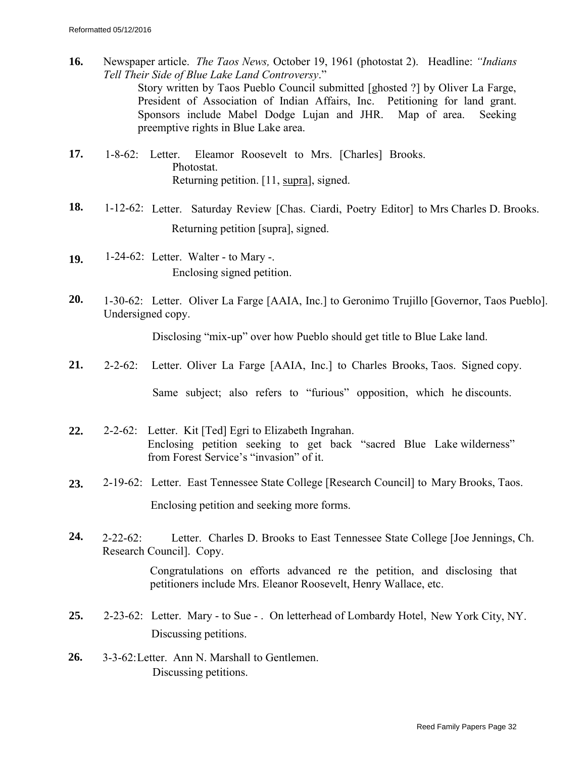- **16.** Newspaper article. *The Taos News,* October 19, 1961 (photostat 2). Headline: *"Indians Tell Their Side of Blue Lake Land Controversy*." Story written by Taos Pueblo Council submitted [ghosted ?] by Oliver La Farge, President of Association of Indian Affairs, Inc. Petitioning for land grant. Sponsors include Mabel Dodge Lujan and JHR. Map of area. Seeking preemptive rights in Blue Lake area.
- **17.** 1-8-62: Letter. Eleamor Roosevelt to Mrs. [Charles] Brooks. Photostat. Returning petition. [11, supra], signed.
- **18.** 1-12-62: Letter. Saturday Review [Chas. Ciardi, Poetry Editor] to Mrs Charles D. Brooks. Returning petition [supra], signed.
- **19.** 1-24-62: Letter. Walter to Mary -. Enclosing signed petition.
- **20.** 1-30-62: Letter. Oliver La Farge [AAIA, Inc.] to Geronimo Trujillo [Governor, Taos Pueblo]. Undersigned copy.

Disclosing "mix-up" over how Pueblo should get title to Blue Lake land.

**21.** 2-2-62: Letter. Oliver La Farge [AAIA, Inc.] to Charles Brooks, Taos. Signed copy.

Same subject; also refers to "furious" opposition, which he discounts.

- **22.** 2-2-62: Letter. Kit [Ted] Egri to Elizabeth Ingrahan. Enclosing petition seeking to get back "sacred Blue Lake wilderness" from Forest Service's "invasion" of it.
- **23.** 2-19-62: Letter. East Tennessee State College [Research Council] to Mary Brooks, Taos. Enclosing petition and seeking more forms.
- **24.** 2-22-62: Letter. Charles D. Brooks to East Tennessee State College [Joe Jennings, Ch. Research Council]. Copy.

Congratulations on efforts advanced re the petition, and disclosing that petitioners include Mrs. Eleanor Roosevelt, Henry Wallace, etc.

- **25.** 2-23-62: Letter. Mary to Sue . On letterhead of Lombardy Hotel, New York City, NY. Discussing petitions.
- **26.** 3-3-62: Letter. Ann N. Marshall to Gentlemen. Discussing petitions.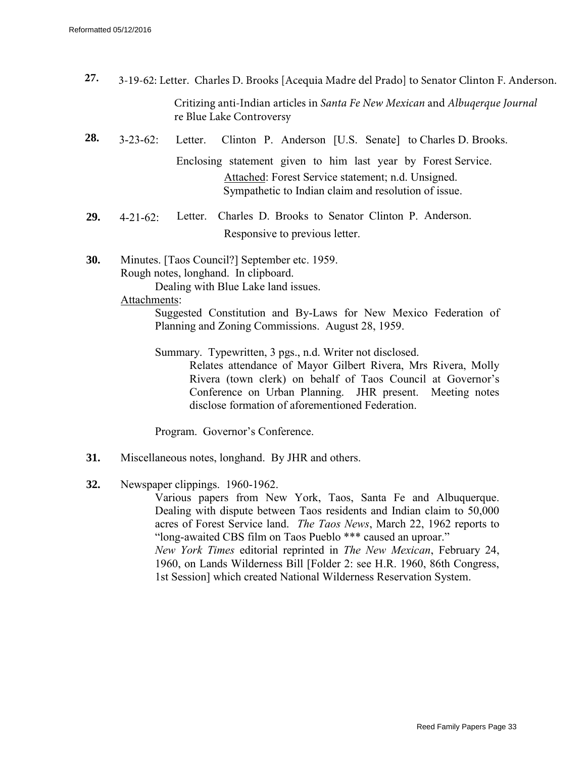- Critizing anti-Indian articles in *Santa Fe New Mexican* and *Albuqerque Journal*  re Blue Lake Controversy **27.** 3-19-62: Letter. Charles D. Brooks [Acequia Madre del Prado] to Senator Clinton F. Anderson.
- **28.** 3-23-62: Letter. Clinton P. Anderson [U.S. Senate] to Charles D. Brooks. Enclosing statement given to him last year by Forest Service. Attached: Forest Service statement; n.d. Unsigned. Sympathetic to Indian claim and resolution of issue.
- **29.** 4-21-62: Letter. Charles D. Brooks to Senator Clinton P. Anderson. Responsive to previous letter.
- **30.** Minutes. [Taos Council?] September etc. 1959. Rough notes, longhand. In clipboard. Dealing with Blue Lake land issues.
	- Attachments:

Suggested Constitution and By-Laws for New Mexico Federation of Planning and Zoning Commissions. August 28, 1959.

Summary. Typewritten, 3 pgs., n.d. Writer not disclosed.

Relates attendance of Mayor Gilbert Rivera, Mrs Rivera, Molly Rivera (town clerk) on behalf of Taos Council at Governor's Conference on Urban Planning. JHR present. Meeting notes disclose formation of aforementioned Federation.

Program. Governor's Conference.

- **31.** Miscellaneous notes, longhand. By JHR and others.
- **32.** Newspaper clippings. 1960-1962.

Various papers from New York, Taos, Santa Fe and Albuquerque. Dealing with dispute between Taos residents and Indian claim to 50,000 acres of Forest Service land. *The Taos News*, March 22, 1962 reports to "long-awaited CBS film on Taos Pueblo \*\*\* caused an uproar." *New York Times* editorial reprinted in *The New Mexican*, February 24, 1960, on Lands Wilderness Bill [Folder 2: see H.R. 1960, 86th Congress, 1st Session] which created National Wilderness Reservation System.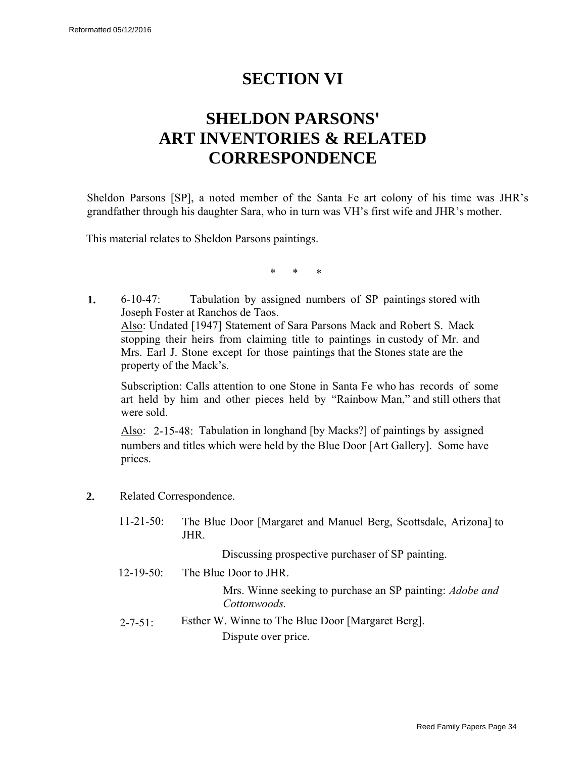# **SECTION VI**

# <span id="page-33-0"></span>**SHELDON PARSONS' ART INVENTORIES & RELATED CORRESPONDENCE**

Sheldon Parsons [SP], a noted member of the Santa Fe art colony of his time was JHR's grandfather through his daughter Sara, who in turn was VH's first wife and JHR's mother.

This material relates to Sheldon Parsons paintings.

\* \* \*

**1.** 6-10-47: Tabulation by assigned numbers of SP paintings stored with Joseph Foster at Ranchos de Taos. Also: Undated [1947] Statement of Sara Parsons Mack and Robert S. Mack stopping their heirs from claiming title to paintings in custody of Mr. and Mrs. Earl J. Stone except for those paintings that the Stones state are the property of the Mack's.

Subscription: Calls attention to one Stone in Santa Fe who has records of some art held by him and other pieces held by "Rainbow Man," and still others that were sold.

Also: 2-15-48: Tabulation in longhand [by Macks?] of paintings by assigned numbers and titles which were held by the Blue Door [Art Gallery]. Some have prices.

- **2.** Related Correspondence.
	- 11-21-50: The Blue Door [Margaret and Manuel Berg, Scottsdale, Arizona] to JHR.

Discussing prospective purchaser of SP painting.

12-19-50: The Blue Door to JHR.

Mrs. Winne seeking to purchase an SP painting: *Adobe and Cottonwoods.*

 $2-7-51$ : Esther W. Winne to The Blue Door [Margaret Berg]. Dispute over price.